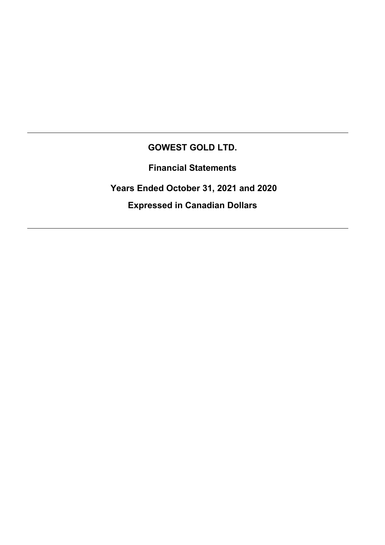# **GOWEST GOLD LTD.**

**Financial Statements** 

 **Years Ended October 31, 2021 and 2020** 

**Expressed in Canadian Dollars**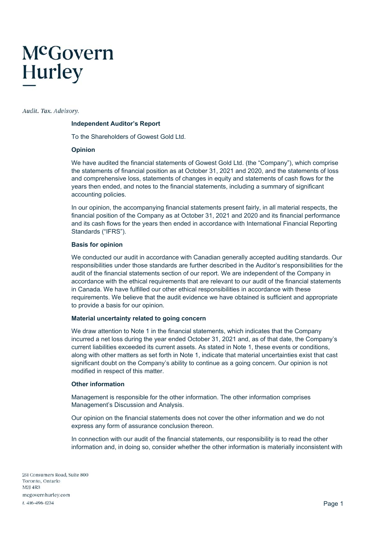# McGovern **Hurley**

Audit. Tax. Advisory.

#### **Independent Auditor's Report**

To the Shareholders of Gowest Gold Ltd.

#### **Opinion**

We have audited the financial statements of Gowest Gold Ltd. (the "Company"), which comprise the statements of financial position as at October 31, 2021 and 2020, and the statements of loss and comprehensive loss, statements of changes in equity and statements of cash flows for the years then ended, and notes to the financial statements, including a summary of significant accounting policies.

In our opinion, the accompanying financial statements present fairly, in all material respects, the financial position of the Company as at October 31, 2021 and 2020 and its financial performance and its cash flows for the years then ended in accordance with International Financial Reporting Standards ("IFRS").

#### **Basis for opinion**

We conducted our audit in accordance with Canadian generally accepted auditing standards. Our responsibilities under those standards are further described in the Auditor's responsibilities for the audit of the financial statements section of our report. We are independent of the Company in accordance with the ethical requirements that are relevant to our audit of the financial statements in Canada. We have fulfilled our other ethical responsibilities in accordance with these requirements. We believe that the audit evidence we have obtained is sufficient and appropriate to provide a basis for our opinion.

#### **Material uncertainty related to going concern**

We draw attention to Note 1 in the financial statements, which indicates that the Company incurred a net loss during the year ended October 31, 2021 and, as of that date, the Company's current liabilities exceeded its current assets. As stated in Note 1, these events or conditions, along with other matters as set forth in Note 1, indicate that material uncertainties exist that cast significant doubt on the Company's ability to continue as a going concern. Our opinion is not modified in respect of this matter.

#### **Other information**

Management is responsible for the other information. The other information comprises Management's Discussion and Analysis.

Our opinion on the financial statements does not cover the other information and we do not express any form of assurance conclusion thereon.

In connection with our audit of the financial statements, our responsibility is to read the other information and, in doing so, consider whether the other information is materially inconsistent with

251 Consumers Road, Suite 800 Toronto Ontario M21 4R3 mcgovernhurley.com t. 416-496-1234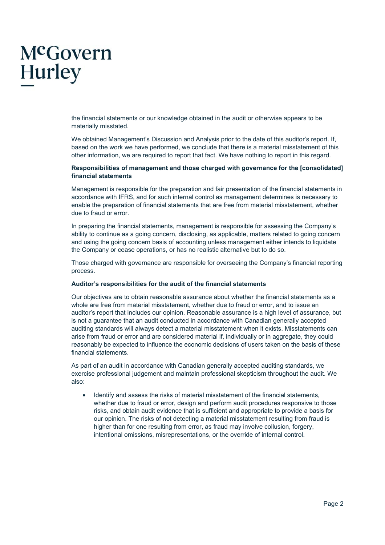# McGovern **Hurley**

the financial statements or our knowledge obtained in the audit or otherwise appears to be materially misstated.

We obtained Management's Discussion and Analysis prior to the date of this auditor's report. If, based on the work we have performed, we conclude that there is a material misstatement of this other information, we are required to report that fact. We have nothing to report in this regard.

#### **Responsibilities of management and those charged with governance for the [consolidated] financial statements**

Management is responsible for the preparation and fair presentation of the financial statements in accordance with IFRS, and for such internal control as management determines is necessary to enable the preparation of financial statements that are free from material misstatement, whether due to fraud or error.

In preparing the financial statements, management is responsible for assessing the Company's ability to continue as a going concern, disclosing, as applicable, matters related to going concern and using the going concern basis of accounting unless management either intends to liquidate the Company or cease operations, or has no realistic alternative but to do so.

Those charged with governance are responsible for overseeing the Company's financial reporting process.

#### **Auditor's responsibilities for the audit of the financial statements**

Our objectives are to obtain reasonable assurance about whether the financial statements as a whole are free from material misstatement, whether due to fraud or error, and to issue an auditor's report that includes our opinion. Reasonable assurance is a high level of assurance, but is not a guarantee that an audit conducted in accordance with Canadian generally accepted auditing standards will always detect a material misstatement when it exists. Misstatements can arise from fraud or error and are considered material if, individually or in aggregate, they could reasonably be expected to influence the economic decisions of users taken on the basis of these financial statements.

As part of an audit in accordance with Canadian generally accepted auditing standards, we exercise professional judgement and maintain professional skepticism throughout the audit. We also:

• Identify and assess the risks of material misstatement of the financial statements, whether due to fraud or error, design and perform audit procedures responsive to those risks, and obtain audit evidence that is sufficient and appropriate to provide a basis for our opinion. The risks of not detecting a material misstatement resulting from fraud is higher than for one resulting from error, as fraud may involve collusion, forgery, intentional omissions, misrepresentations, or the override of internal control.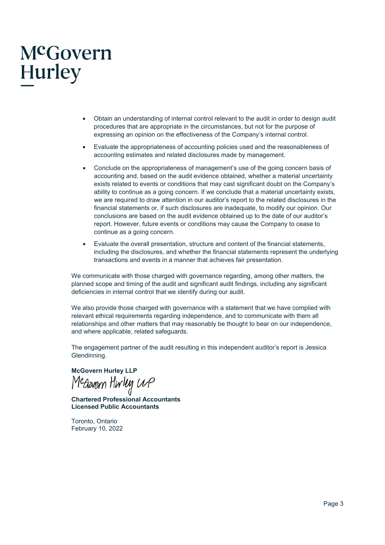# McGovern Hurley

- Obtain an understanding of internal control relevant to the audit in order to design audit procedures that are appropriate in the circumstances, but not for the purpose of expressing an opinion on the effectiveness of the Company's internal control.
- Evaluate the appropriateness of accounting policies used and the reasonableness of accounting estimates and related disclosures made by management.
- Conclude on the appropriateness of management's use of the going concern basis of accounting and, based on the audit evidence obtained, whether a material uncertainty exists related to events or conditions that may cast significant doubt on the Company's ability to continue as a going concern. If we conclude that a material uncertainty exists, we are required to draw attention in our auditor's report to the related disclosures in the financial statements or, if such disclosures are inadequate, to modify our opinion. Our conclusions are based on the audit evidence obtained up to the date of our auditor's report. However, future events or conditions may cause the Company to cease to continue as a going concern.
- Evaluate the overall presentation, structure and content of the financial statements, including the disclosures, and whether the financial statements represent the underlying transactions and events in a manner that achieves fair presentation.

We communicate with those charged with governance regarding, among other matters, the planned scope and timing of the audit and significant audit findings, including any significant deficiencies in internal control that we identify during our audit.

We also provide those charged with governance with a statement that we have complied with relevant ethical requirements regarding independence, and to communicate with them all relationships and other matters that may reasonably be thought to bear on our independence, and where applicable, related safeguards.

The engagement partner of the audit resulting in this independent auditor's report is Jessica Glendinning.

**McGovern Hurley LLP** 

**Chartered Professional Accountants Licensed Public Accountants** 

Toronto, Ontario February 10, 2022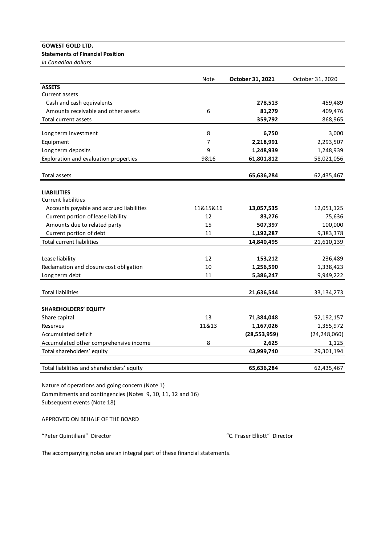# **GOWEST GOLD LTD.**

# **Statements of Financial Position**

*In Canadian dollars*

|                                                             | Note     | October 31, 2021 | October 31, 2020 |
|-------------------------------------------------------------|----------|------------------|------------------|
| <b>ASSETS</b>                                               |          |                  |                  |
| Current assets                                              |          |                  |                  |
| Cash and cash equivalents                                   |          | 278,513          | 459,489          |
| Amounts receivable and other assets                         | 6        | 81,279           | 409,476          |
| Total current assets                                        |          | 359,792          | 868,965          |
| Long term investment                                        | 8        | 6,750            | 3,000            |
| Equipment                                                   | 7        | 2,218,991        | 2,293,507        |
| Long term deposits                                          | 9        | 1,248,939        | 1,248,939        |
| Exploration and evaluation properties                       | 9&16     | 61,801,812       | 58,021,056       |
| Total assets                                                |          | 65,636,284       | 62,435,467       |
| <b>LIABILITIES</b>                                          |          |                  |                  |
| <b>Current liabilities</b>                                  |          |                  |                  |
| Accounts payable and accrued liabilities                    | 11&15&16 | 13,057,535       | 12,051,125       |
| Current portion of lease liability                          | 12<br>15 | 83,276           | 75,636           |
| Amounts due to related party                                | 11       | 507,397          | 100,000          |
| Current portion of debt<br><b>Total current liabilities</b> |          | 1,192,287        | 9,383,378        |
|                                                             |          | 14,840,495       | 21,610,139       |
| Lease liability                                             | 12       | 153,212          | 236,489          |
| Reclamation and closure cost obligation                     | 10       | 1,256,590        | 1,338,423        |
| Long term debt                                              | 11       | 5,386,247        | 9,949,222        |
| <b>Total liabilities</b>                                    |          | 21,636,544       | 33,134,273       |
| <b>SHAREHOLDERS' EQUITY</b>                                 |          |                  |                  |
| Share capital                                               | 13       | 71,384,048       | 52,192,157       |
| Reserves                                                    | 11&13    | 1,167,026        | 1,355,972        |
| <b>Accumulated deficit</b>                                  |          | (28, 553, 959)   | (24, 248, 060)   |
| Accumulated other comprehensive income                      | 8        | 2,625            | 1,125            |
| Total shareholders' equity                                  |          | 43,999,740       | 29,301,194       |
| Total liabilities and shareholders' equity                  |          | 65,636,284       | 62,435,467       |

Nature of operations and going concern (Note 1) Commitments and contingencies (Notes 9, 10, 11, 12 and 16) Subsequent events (Note 18)

APPROVED ON BEHALF OF THE BOARD

"Peter Quintiliani" Director

"C. Fraser Elliott" Director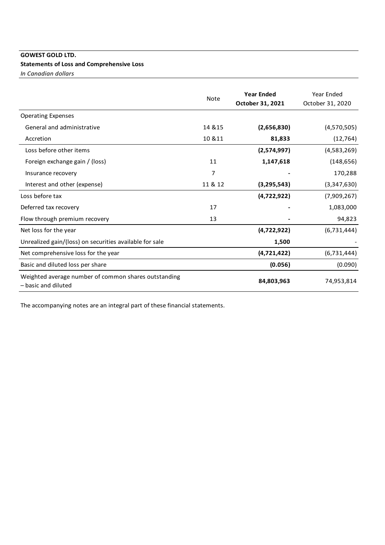# **GOWEST GOLD LTD.**

# **Statements of Loss and Comprehensive Loss**

*In Canadian dollars*

|                                                                             | <b>Note</b> | <b>Year Ended</b><br>October 31, 2021 | Year Ended<br>October 31, 2020 |
|-----------------------------------------------------------------------------|-------------|---------------------------------------|--------------------------------|
| <b>Operating Expenses</b>                                                   |             |                                       |                                |
| General and administrative                                                  | 14 & 15     | (2,656,830)                           | (4,570,505)                    |
| Accretion                                                                   | 10 & 11     | 81,833                                | (12, 764)                      |
| Loss before other items                                                     |             | (2,574,997)                           | (4,583,269)                    |
| Foreign exchange gain / (loss)                                              | 11          | 1,147,618                             | (148, 656)                     |
| Insurance recovery                                                          | 7           |                                       | 170,288                        |
| Interest and other (expense)                                                | 11 & 12     | (3, 295, 543)                         | (3,347,630)                    |
| Loss before tax                                                             |             | (4,722,922)                           | (7,909,267)                    |
| Deferred tax recovery                                                       | 17          |                                       | 1,083,000                      |
| Flow through premium recovery                                               | 13          |                                       | 94,823                         |
| Net loss for the year                                                       |             | (4,722,922)                           | (6, 731, 444)                  |
| Unrealized gain/(loss) on securities available for sale                     |             | 1,500                                 |                                |
| Net comprehensive loss for the year                                         |             | (4,721,422)                           | (6,731,444)                    |
| Basic and diluted loss per share                                            |             | (0.056)                               | (0.090)                        |
| Weighted average number of common shares outstanding<br>- basic and diluted |             | 84,803,963                            | 74,953,814                     |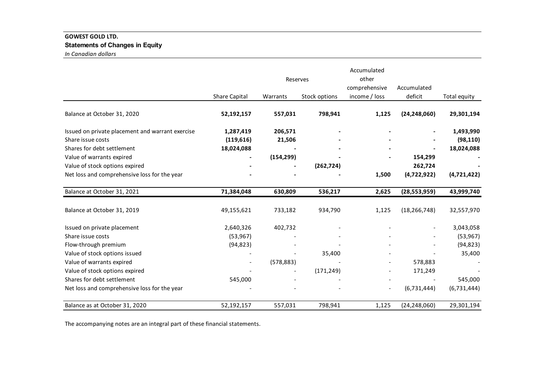# **GOWEST GOLD LTD. Statements of Changes in Equity** *In Canadian dollars*

|                                                  |                      | Reserves   |               | Accumulated<br>other<br>comprehensive | Accumulated    |              |
|--------------------------------------------------|----------------------|------------|---------------|---------------------------------------|----------------|--------------|
|                                                  | <b>Share Capital</b> | Warrants   | Stock options | income / loss                         | deficit        | Total equity |
| Balance at October 31, 2020                      | 52,192,157           | 557,031    | 798,941       | 1,125                                 | (24, 248, 060) | 29,301,194   |
| Issued on private placement and warrant exercise | 1,287,419            | 206,571    |               |                                       |                | 1,493,990    |
| Share issue costs                                | (119,616)            | 21,506     |               |                                       |                | (98, 110)    |
| Shares for debt settlement                       | 18,024,088           |            |               |                                       |                | 18,024,088   |
| Value of warrants expired                        |                      | (154, 299) |               |                                       | 154,299        |              |
| Value of stock options expired                   |                      |            | (262, 724)    |                                       | 262,724        |              |
| Net loss and comprehensive loss for the year     |                      |            |               | 1,500                                 | (4,722,922)    | (4,721,422)  |
| Balance at October 31, 2021                      | 71,384,048           | 630,809    | 536,217       | 2,625                                 | (28, 553, 959) | 43,999,740   |
| Balance at October 31, 2019                      | 49,155,621           | 733,182    | 934,790       | 1,125                                 | (18, 266, 748) | 32,557,970   |
| Issued on private placement                      | 2,640,326            | 402,732    |               |                                       |                | 3,043,058    |
| Share issue costs                                | (53, 967)            |            |               |                                       |                | (53, 967)    |
| Flow-through premium                             | (94, 823)            |            |               |                                       |                | (94, 823)    |
| Value of stock options issued                    |                      |            | 35,400        |                                       |                | 35,400       |
| Value of warrants expired                        |                      | (578, 883) |               |                                       | 578,883        |              |
| Value of stock options expired                   |                      |            | (171, 249)    |                                       | 171,249        |              |
| Shares for debt settlement                       | 545,000              |            |               |                                       |                | 545,000      |
| Net loss and comprehensive loss for the year     |                      |            |               | $\overline{\phantom{a}}$              | (6, 731, 444)  | (6,731,444)  |
| Balance as at October 31, 2020                   | 52,192,157           | 557,031    | 798,941       | 1,125                                 | (24, 248, 060) | 29,301,194   |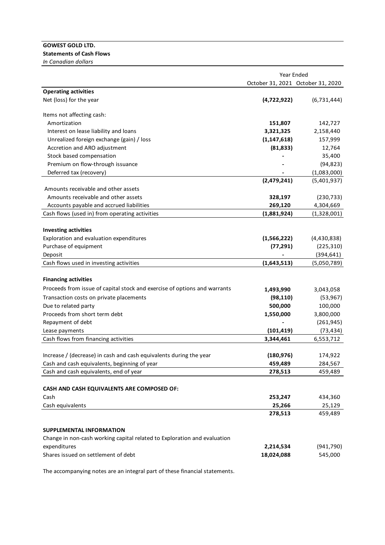#### **GOWEST GOLD LTD. Statements of Cash Flows**

*In Canadian dollars*

|                                                                           | Year Ended                        |             |  |  |
|---------------------------------------------------------------------------|-----------------------------------|-------------|--|--|
|                                                                           | October 31, 2021 October 31, 2020 |             |  |  |
| <b>Operating activities</b>                                               |                                   |             |  |  |
| Net (loss) for the year                                                   | (4,722,922)                       | (6,731,444) |  |  |
| Items not affecting cash:                                                 |                                   |             |  |  |
| Amortization                                                              | 151,807                           | 142,727     |  |  |
| Interest on lease liability and loans                                     | 3,321,325                         | 2,158,440   |  |  |
| Unrealized foreign exchange (gain) / loss                                 | (1, 147, 618)                     | 157,999     |  |  |
| Accretion and ARO adjustment                                              | (81, 833)                         | 12,764      |  |  |
| Stock based compensation                                                  |                                   | 35,400      |  |  |
| Premium on flow-through issuance                                          |                                   | (94, 823)   |  |  |
| Deferred tax (recovery)                                                   |                                   | (1,083,000) |  |  |
|                                                                           | (2,479,241)                       | (5,401,937) |  |  |
| Amounts receivable and other assets                                       |                                   |             |  |  |
| Amounts receivable and other assets                                       | 328,197                           | (230, 733)  |  |  |
| Accounts payable and accrued liabilities                                  | 269,120                           | 4,304,669   |  |  |
| Cash flows (used in) from operating activities                            | (1,881,924)                       | (1,328,001) |  |  |
|                                                                           |                                   |             |  |  |
| <b>Investing activities</b>                                               |                                   |             |  |  |
| Exploration and evaluation expenditures                                   | (1,566,222)                       | (4,430,838) |  |  |
| Purchase of equipment                                                     | (77, 291)                         | (225, 310)  |  |  |
| Deposit                                                                   |                                   | (394, 641)  |  |  |
| Cash flows used in investing activities                                   | (1,643,513)                       | (5,050,789) |  |  |
| <b>Financing activities</b>                                               |                                   |             |  |  |
| Proceeds from issue of capital stock and exercise of options and warrants | 1,493,990                         | 3,043,058   |  |  |
| Transaction costs on private placements                                   | (98, 110)                         | (53, 967)   |  |  |
| Due to related party                                                      | 500,000                           | 100,000     |  |  |
| Proceeds from short term debt                                             | 1,550,000                         | 3,800,000   |  |  |
| Repayment of debt                                                         |                                   | (261, 945)  |  |  |
|                                                                           | (101, 419)                        | (73, 434)   |  |  |
| Lease payments<br>Cash flows from financing activities                    | 3,344,461                         | 6,553,712   |  |  |
|                                                                           |                                   |             |  |  |
| Increase / (decrease) in cash and cash equivalents during the year        | (180, 976)                        | 174,922     |  |  |
| Cash and cash equivalents, beginning of year                              | 459,489                           | 284,567     |  |  |
| Cash and cash equivalents, end of year                                    | 278,513                           | 459,489     |  |  |
|                                                                           |                                   |             |  |  |
| CASH AND CASH EQUIVALENTS ARE COMPOSED OF:                                |                                   |             |  |  |
| Cash                                                                      | 253,247                           | 434,360     |  |  |
| Cash equivalents                                                          | 25,266                            | 25,129      |  |  |
|                                                                           | 278,513                           | 459,489     |  |  |
|                                                                           |                                   |             |  |  |
| <b>SUPPLEMENTAL INFORMATION</b>                                           |                                   |             |  |  |
| Change in non-cash working capital related to Exploration and evaluation  |                                   |             |  |  |
| expenditures                                                              | 2,214,534                         | (941, 790)  |  |  |
| Shares issued on settlement of debt                                       | 18,024,088                        | 545,000     |  |  |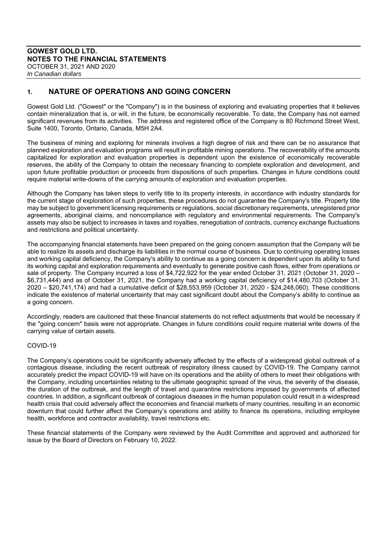# **1. NATURE OF OPERATIONS AND GOING CONCERN**

Gowest Gold Ltd. ("Gowest" or the "Company") is in the business of exploring and evaluating properties that it believes contain mineralization that is, or will, in the future, be economically recoverable. To date, the Company has not earned significant revenues from its activities. The address and registered office of the Company is 80 Richmond Street West, Suite 1400, Toronto, Ontario, Canada, M5H 2A4.

The business of mining and exploring for minerals involves a high degree of risk and there can be no assurance that planned exploration and evaluation programs will result in profitable mining operations. The recoverability of the amounts capitalized for exploration and evaluation properties is dependent upon the existence of economically recoverable reserves, the ability of the Company to obtain the necessary financing to complete exploration and development, and upon future profitable production or proceeds from dispositions of such properties. Changes in future conditions could require material write-downs of the carrying amounts of exploration and evaluation properties.

Although the Company has taken steps to verify title to its property interests, in accordance with industry standards for the current stage of exploration of such properties, these procedures do not guarantee the Company's title. Property title may be subject to government licensing requirements or regulations, social discretionary requirements, unregistered prior agreements, aboriginal claims, and noncompliance with regulatory and environmental requirements. The Company's assets may also be subject to increases in taxes and royalties, renegotiation of contracts, currency exchange fluctuations and restrictions and political uncertainty.

The accompanying financial statements have been prepared on the going concern assumption that the Company will be able to realize its assets and discharge its liabilities in the normal course of business. Due to continuing operating losses and working capital deficiency, the Company's ability to continue as a going concern is dependent upon its ability to fund its working capital and exploration requirements and eventually to generate positive cash flows, either from operations or sale of property. The Company incurred a loss of \$4,722,922 for the year ended October 31, 2021 (October 31, 2020 – \$6,731,444) and as of October 31, 2021, the Company had a working capital deficiency of \$14,480,703 (October 31, 2020 – \$20,741,174) and had a cumulative deficit of \$28,553,959 (October 31, 2020 - \$24,248,060). These conditions indicate the existence of material uncertainty that may cast significant doubt about the Company's ability to continue as a going concern.

Accordingly, readers are cautioned that these financial statements do not reflect adjustments that would be necessary if the "going concern" basis were not appropriate. Changes in future conditions could require material write downs of the carrying value of certain assets.

#### COVID-19

The Company's operations could be significantly adversely affected by the effects of a widespread global outbreak of a contagious disease, including the recent outbreak of respiratory illness caused by COVID-19. The Company cannot accurately predict the impact COVID-19 will have on its operations and the ability of others to meet their obligations with the Company, including uncertainties relating to the ultimate geographic spread of the virus, the severity of the disease, the duration of the outbreak, and the length of travel and quarantine restrictions imposed by governments of affected countries. In addition, a significant outbreak of contagious diseases in the human population could result in a widespread health crisis that could adversely affect the economies and financial markets of many countries, resulting in an economic downturn that could further affect the Company's operations and ability to finance its operations, including employee health, workforce and contractor availability, travel restrictions etc.

These financial statements of the Company were reviewed by the Audit Committee and approved and authorized for issue by the Board of Directors on February 10, 2022.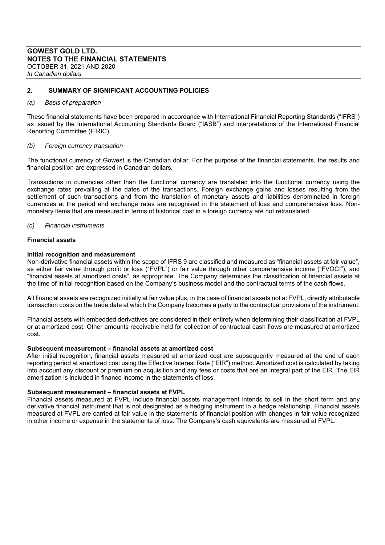# **2. SUMMARY OF SIGNIFICANT ACCOUNTING POLICIES**

#### *(a) Basis of preparation*

These financial statements have been prepared in accordance with International Financial Reporting Standards ("IFRS") as issued by the International Accounting Standards Board ("IASB") and interpretations of the International Financial Reporting Committee (IFRIC).

#### *(b) Foreign currency translation*

The functional currency of Gowest is the Canadian dollar. For the purpose of the financial statements, the results and financial position are expressed in Canadian dollars.

Transactions in currencies other than the functional currency are translated into the functional currency using the exchange rates prevailing at the dates of the transactions. Foreign exchange gains and losses resulting from the settlement of such transactions and from the translation of monetary assets and liabilities denominated in foreign currencies at the period end exchange rates are recognised in the statement of loss and comprehensive loss. Nonmonetary items that are measured in terms of historical cost in a foreign currency are not retranslated.

#### *(c) Financial instruments*

#### **Financial assets**

#### **Initial recognition and measurement**

Non-derivative financial assets within the scope of IFRS 9 are classified and measured as "financial assets at fair value", as either fair value through profit or loss ("FVPL") or fair value through other comprehensive income ("FVOCI"), and "financial assets at amortized costs", as appropriate. The Company determines the classification of financial assets at the time of initial recognition based on the Company's business model and the contractual terms of the cash flows.

All financial assets are recognized initially at fair value plus, in the case of financial assets not at FVPL, directly attributable transaction costs on the trade date at which the Company becomes a party to the contractual provisions of the instrument.

Financial assets with embedded derivatives are considered in their entirety when determining their classification at FVPL or at amortized cost. Other amounts receivable held for collection of contractual cash flows are measured at amortized cost.

#### **Subsequent measurement – financial assets at amortized cost**

After initial recognition, financial assets measured at amortized cost are subsequently measured at the end of each reporting period at amortized cost using the Effective Interest Rate ("EIR") method. Amortized cost is calculated by taking into account any discount or premium on acquisition and any fees or costs that are an integral part of the EIR. The EIR amortization is included in finance income in the statements of loss.

#### **Subsequent measurement – financial assets at FVPL**

Financial assets measured at FVPL include financial assets management intends to sell in the short term and any derivative financial instrument that is not designated as a hedging instrument in a hedge relationship. Financial assets measured at FVPL are carried at fair value in the statements of financial position with changes in fair value recognized in other income or expense in the statements of loss. The Company's cash equivalents are measured at FVPL.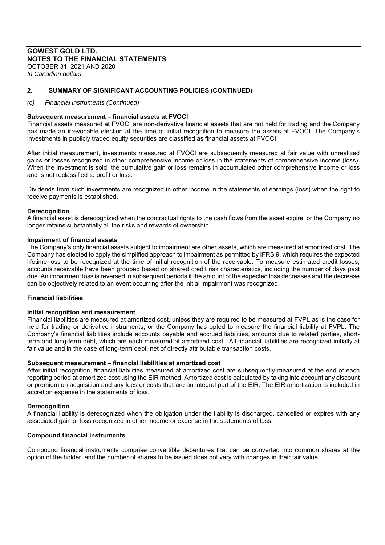# **GOWEST GOLD LTD. NOTES TO THE FINANCIAL STATEMENTS**  OCTOBER 31, 2021 AND 2020

*In Canadian dollars*

# **2. SUMMARY OF SIGNIFICANT ACCOUNTING POLICIES (CONTINUED)**

#### *(c) Financial instruments (Continued)*

# **Subsequent measurement – financial assets at FVOCI**

Financial assets measured at FVOCI are non-derivative financial assets that are not held for trading and the Company has made an irrevocable election at the time of initial recognition to measure the assets at FVOCI. The Company's investments in publicly traded equity securities are classified as financial assets at FVOCI.

After initial measurement, investments measured at FVOCI are subsequently measured at fair value with unrealized gains or losses recognized in other comprehensive income or loss in the statements of comprehensive income (loss). When the investment is sold, the cumulative gain or loss remains in accumulated other comprehensive income or loss and is not reclassified to profit or loss.

Dividends from such investments are recognized in other income in the statements of earnings (loss) when the right to receive payments is established.

#### **Derecognition**

A financial asset is derecognized when the contractual rights to the cash flows from the asset expire, or the Company no longer retains substantially all the risks and rewards of ownership.

#### **Impairment of financial assets**

The Company's only financial assets subject to impairment are other assets, which are measured at amortized cost. The Company has elected to apply the simplified approach to impairment as permitted by IFRS 9, which requires the expected lifetime loss to be recognized at the time of initial recognition of the receivable. To measure estimated credit losses, accounts receivable have been grouped based on shared credit risk characteristics, including the number of days past due. An impairment loss is reversed in subsequent periods if the amount of the expected loss decreases and the decrease can be objectively related to an event occurring after the initial impairment was recognized.

#### **Financial liabilities**

#### **Initial recognition and measurement**

Financial liabilities are measured at amortized cost, unless they are required to be measured at FVPL as is the case for held for trading or derivative instruments, or the Company has opted to measure the financial liability at FVPL. The Company's financial liabilities include accounts payable and accrued liabilities, amounts due to related parties, shortterm and long-term debt, which are each measured at amortized cost. All financial liabilities are recognized initially at fair value and in the case of long-term debt, net of directly attributable transaction costs.

#### **Subsequent measurement – financial liabilities at amortized cost**

After initial recognition, financial liabilities measured at amortized cost are subsequently measured at the end of each reporting period at amortized cost using the EIR method. Amortized cost is calculated by taking into account any discount or premium on acquisition and any fees or costs that are an integral part of the EIR. The EIR amortization is included in accretion expense in the statements of loss.

#### **Derecognition**

A financial liability is derecognized when the obligation under the liability is discharged, cancelled or expires with any associated gain or loss recognized in other income or expense in the statements of loss.

#### **Compound financial instruments**

Compound financial instruments comprise convertible debentures that can be converted into common shares at the option of the holder, and the number of shares to be issued does not vary with changes in their fair value.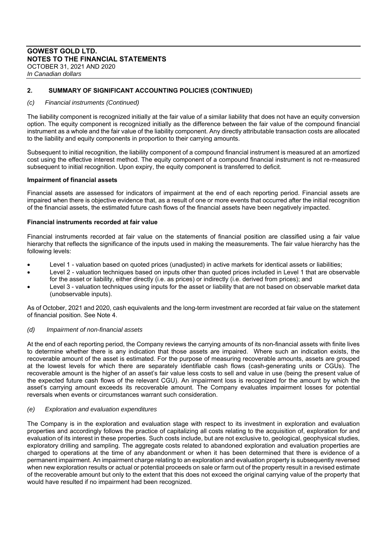# **GOWEST GOLD LTD. NOTES TO THE FINANCIAL STATEMENTS**  OCTOBER 31, 2021 AND 2020

*In Canadian dollars*

# **2. SUMMARY OF SIGNIFICANT ACCOUNTING POLICIES (CONTINUED)**

#### *(c) Financial instruments (Continued)*

The liability component is recognized initially at the fair value of a similar liability that does not have an equity conversion option. The equity component is recognized initially as the difference between the fair value of the compound financial instrument as a whole and the fair value of the liability component. Any directly attributable transaction costs are allocated to the liability and equity components in proportion to their carrying amounts.

Subsequent to initial recognition, the liability component of a compound financial instrument is measured at an amortized cost using the effective interest method. The equity component of a compound financial instrument is not re‐measured subsequent to initial recognition. Upon expiry, the equity component is transferred to deficit.

#### **Impairment of financial assets**

Financial assets are assessed for indicators of impairment at the end of each reporting period. Financial assets are impaired when there is objective evidence that, as a result of one or more events that occurred after the initial recognition of the financial assets, the estimated future cash flows of the financial assets have been negatively impacted.

# **Financial instruments recorded at fair value**

Financial instruments recorded at fair value on the statements of financial position are classified using a fair value hierarchy that reflects the significance of the inputs used in making the measurements. The fair value hierarchy has the following levels:

- Level 1 valuation based on quoted prices (unadjusted) in active markets for identical assets or liabilities;
- Level 2 valuation techniques based on inputs other than quoted prices included in Level 1 that are observable for the asset or liability, either directly (i.e. as prices) or indirectly (i.e. derived from prices); and
- Level 3 valuation techniques using inputs for the asset or liability that are not based on observable market data (unobservable inputs).

As of October, 2021 and 2020, cash equivalents and the long-term investment are recorded at fair value on the statement of financial position. See Note 4.

#### *(d) Impairment of non-financial assets*

At the end of each reporting period, the Company reviews the carrying amounts of its non-financial assets with finite lives to determine whether there is any indication that those assets are impaired. Where such an indication exists, the recoverable amount of the asset is estimated. For the purpose of measuring recoverable amounts, assets are grouped at the lowest levels for which there are separately identifiable cash flows (cash-generating units or CGUs). The recoverable amount is the higher of an asset's fair value less costs to sell and value in use (being the present value of the expected future cash flows of the relevant CGU). An impairment loss is recognized for the amount by which the asset's carrying amount exceeds its recoverable amount. The Company evaluates impairment losses for potential reversals when events or circumstances warrant such consideration.

#### *(e) Exploration and evaluation expenditures*

The Company is in the exploration and evaluation stage with respect to its investment in exploration and evaluation properties and accordingly follows the practice of capitalizing all costs relating to the acquisition of, exploration for and evaluation of its interest in these properties. Such costs include, but are not exclusive to, geological, geophysical studies, exploratory drilling and sampling. The aggregate costs related to abandoned exploration and evaluation properties are charged to operations at the time of any abandonment or when it has been determined that there is evidence of a permanent impairment. An impairment charge relating to an exploration and evaluation property is subsequently reversed when new exploration results or actual or potential proceeds on sale or farm out of the property result in a revised estimate of the recoverable amount but only to the extent that this does not exceed the original carrying value of the property that would have resulted if no impairment had been recognized.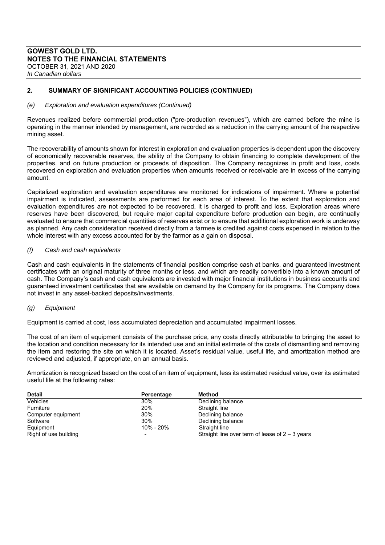# **2. SUMMARY OF SIGNIFICANT ACCOUNTING POLICIES (CONTINUED)**

#### *(e) Exploration and evaluation expenditures (Continued)*

Revenues realized before commercial production ("pre-production revenues"), which are earned before the mine is operating in the manner intended by management, are recorded as a reduction in the carrying amount of the respective mining asset.

The recoverability of amounts shown for interest in exploration and evaluation properties is dependent upon the discovery of economically recoverable reserves, the ability of the Company to obtain financing to complete development of the properties, and on future production or proceeds of disposition. The Company recognizes in profit and loss, costs recovered on exploration and evaluation properties when amounts received or receivable are in excess of the carrying amount.

Capitalized exploration and evaluation expenditures are monitored for indications of impairment. Where a potential impairment is indicated, assessments are performed for each area of interest. To the extent that exploration and evaluation expenditures are not expected to be recovered, it is charged to profit and loss. Exploration areas where reserves have been discovered, but require major capital expenditure before production can begin, are continually evaluated to ensure that commercial quantities of reserves exist or to ensure that additional exploration work is underway as planned. Any cash consideration received directly from a farmee is credited against costs expensed in relation to the whole interest with any excess accounted for by the farmor as a gain on disposal.

# *(f) Cash and cash equivalents*

Cash and cash equivalents in the statements of financial position comprise cash at banks, and guaranteed investment certificates with an original maturity of three months or less, and which are readily convertible into a known amount of cash. The Company's cash and cash equivalents are invested with major financial institutions in business accounts and guaranteed investment certificates that are available on demand by the Company for its programs. The Company does not invest in any asset-backed deposits/investments.

# *(g) Equipment*

Equipment is carried at cost, less accumulated depreciation and accumulated impairment losses.

The cost of an item of equipment consists of the purchase price, any costs directly attributable to bringing the asset to the location and condition necessary for its intended use and an initial estimate of the costs of dismantling and removing the item and restoring the site on which it is located. Asset's residual value, useful life, and amortization method are reviewed and adjusted, if appropriate, on an annual basis.

Amortization is recognized based on the cost of an item of equipment, less its estimated residual value, over its estimated useful life at the following rates:

| <b>Detail</b>         | Percentage               | Method                                            |
|-----------------------|--------------------------|---------------------------------------------------|
| Vehicles              | 30%                      | Declining balance                                 |
| Furniture             | 20%                      | Straight line                                     |
| Computer equipment    | 30%                      | Declining balance                                 |
| Software              | 30%                      | Declining balance                                 |
| Equipment             | 10% - 20%                | Straight line                                     |
| Right of use building | $\overline{\phantom{0}}$ | Straight line over term of lease of $2 - 3$ years |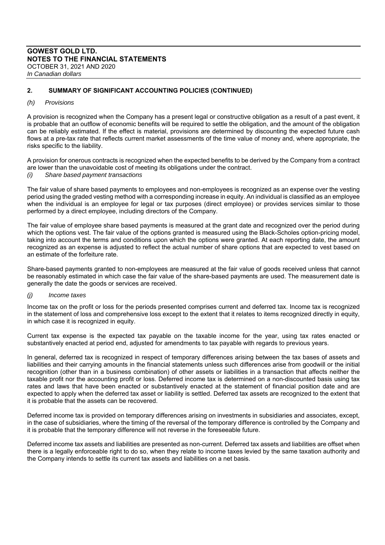# **2. SUMMARY OF SIGNIFICANT ACCOUNTING POLICIES (CONTINUED)**

#### *(h) Provisions*

A provision is recognized when the Company has a present legal or constructive obligation as a result of a past event, it is probable that an outflow of economic benefits will be required to settle the obligation, and the amount of the obligation can be reliably estimated. If the effect is material, provisions are determined by discounting the expected future cash flows at a pre-tax rate that reflects current market assessments of the time value of money and, where appropriate, the risks specific to the liability.

A provision for onerous contracts is recognized when the expected benefits to be derived by the Company from a contract are lower than the unavoidable cost of meeting its obligations under the contract.

*(i) Share based payment transactions* 

The fair value of share based payments to employees and non-employees is recognized as an expense over the vesting period using the graded vesting method with a corresponding increase in equity. An individual is classified as an employee when the individual is an employee for legal or tax purposes (direct employee) or provides services similar to those performed by a direct employee, including directors of the Company.

The fair value of employee share based payments is measured at the grant date and recognized over the period during which the options vest. The fair value of the options granted is measured using the Black-Scholes option-pricing model, taking into account the terms and conditions upon which the options were granted. At each reporting date, the amount recognized as an expense is adjusted to reflect the actual number of share options that are expected to vest based on an estimate of the forfeiture rate.

Share-based payments granted to non-employees are measured at the fair value of goods received unless that cannot be reasonably estimated in which case the fair value of the share-based payments are used. The measurement date is generally the date the goods or services are received.

#### *(j) Income taxes*

Income tax on the profit or loss for the periods presented comprises current and deferred tax. Income tax is recognized in the statement of loss and comprehensive loss except to the extent that it relates to items recognized directly in equity, in which case it is recognized in equity.

Current tax expense is the expected tax payable on the taxable income for the year, using tax rates enacted or substantively enacted at period end, adjusted for amendments to tax payable with regards to previous years.

In general, deferred tax is recognized in respect of temporary differences arising between the tax bases of assets and liabilities and their carrying amounts in the financial statements unless such differences arise from goodwill or the initial recognition (other than in a business combination) of other assets or liabilities in a transaction that affects neither the taxable profit nor the accounting profit or loss. Deferred income tax is determined on a non-discounted basis using tax rates and laws that have been enacted or substantively enacted at the statement of financial position date and are expected to apply when the deferred tax asset or liability is settled. Deferred tax assets are recognized to the extent that it is probable that the assets can be recovered.

Deferred income tax is provided on temporary differences arising on investments in subsidiaries and associates, except, in the case of subsidiaries, where the timing of the reversal of the temporary difference is controlled by the Company and it is probable that the temporary difference will not reverse in the foreseeable future.

Deferred income tax assets and liabilities are presented as non-current. Deferred tax assets and liabilities are offset when there is a legally enforceable right to do so, when they relate to income taxes levied by the same taxation authority and the Company intends to settle its current tax assets and liabilities on a net basis.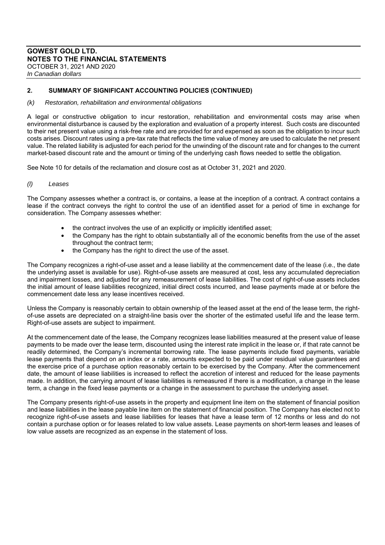# **GOWEST GOLD LTD. NOTES TO THE FINANCIAL STATEMENTS**  OCTOBER 31, 2021 AND 2020

*In Canadian dollars*

# **2. SUMMARY OF SIGNIFICANT ACCOUNTING POLICIES (CONTINUED)**

#### *(k) Restoration, rehabilitation and environmental obligations*

A legal or constructive obligation to incur restoration, rehabilitation and environmental costs may arise when environmental disturbance is caused by the exploration and evaluation of a property interest. Such costs are discounted to their net present value using a risk-free rate and are provided for and expensed as soon as the obligation to incur such costs arises. Discount rates using a pre-tax rate that reflects the time value of money are used to calculate the net present value. The related liability is adjusted for each period for the unwinding of the discount rate and for changes to the current market-based discount rate and the amount or timing of the underlying cash flows needed to settle the obligation.

See Note 10 for details of the reclamation and closure cost as at October 31, 2021 and 2020.

# *(l) Leases*

The Company assesses whether a contract is, or contains, a lease at the inception of a contract. A contract contains a lease if the contract conveys the right to control the use of an identified asset for a period of time in exchange for consideration. The Company assesses whether:

- the contract involves the use of an explicitly or implicitly identified asset;
- the Company has the right to obtain substantially all of the economic benefits from the use of the asset throughout the contract term;
- the Company has the right to direct the use of the asset.

The Company recognizes a right-of-use asset and a lease liability at the commencement date of the lease (i.e., the date the underlying asset is available for use). Right-of-use assets are measured at cost, less any accumulated depreciation and impairment losses, and adjusted for any remeasurement of lease liabilities. The cost of right-of-use assets includes the initial amount of lease liabilities recognized, initial direct costs incurred, and lease payments made at or before the commencement date less any lease incentives received.

Unless the Company is reasonably certain to obtain ownership of the leased asset at the end of the lease term, the rightof-use assets are depreciated on a straight-line basis over the shorter of the estimated useful life and the lease term. Right-of-use assets are subject to impairment.

At the commencement date of the lease, the Company recognizes lease liabilities measured at the present value of lease payments to be made over the lease term, discounted using the interest rate implicit in the lease or, if that rate cannot be readily determined, the Company's incremental borrowing rate. The lease payments include fixed payments, variable lease payments that depend on an index or a rate, amounts expected to be paid under residual value guarantees and the exercise price of a purchase option reasonably certain to be exercised by the Company. After the commencement date, the amount of lease liabilities is increased to reflect the accretion of interest and reduced for the lease payments made. In addition, the carrying amount of lease liabilities is remeasured if there is a modification, a change in the lease term, a change in the fixed lease payments or a change in the assessment to purchase the underlying asset.

The Company presents right-of-use assets in the property and equipment line item on the statement of financial position and lease liabilities in the lease payable line item on the statement of financial position. The Company has elected not to recognize right-of-use assets and lease liabilities for leases that have a lease term of 12 months or less and do not contain a purchase option or for leases related to low value assets. Lease payments on short-term leases and leases of low value assets are recognized as an expense in the statement of loss.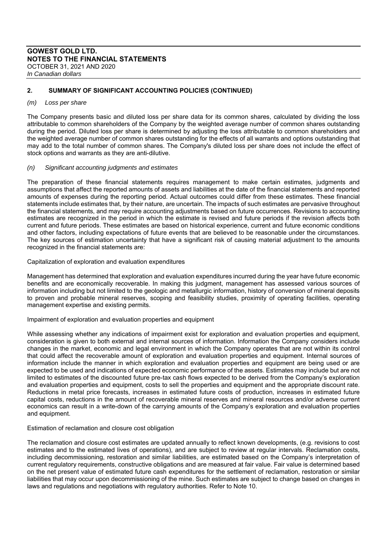# **2. SUMMARY OF SIGNIFICANT ACCOUNTING POLICIES (CONTINUED)**

#### *(m) Loss per share*

The Company presents basic and diluted loss per share data for its common shares, calculated by dividing the loss attributable to common shareholders of the Company by the weighted average number of common shares outstanding during the period. Diluted loss per share is determined by adjusting the loss attributable to common shareholders and the weighted average number of common shares outstanding for the effects of all warrants and options outstanding that may add to the total number of common shares. The Company's diluted loss per share does not include the effect of stock options and warrants as they are anti-dilutive.

#### *(n) Significant accounting judgments and estimates*

The preparation of these financial statements requires management to make certain estimates, judgments and assumptions that affect the reported amounts of assets and liabilities at the date of the financial statements and reported amounts of expenses during the reporting period. Actual outcomes could differ from these estimates. These financial statements include estimates that, by their nature, are uncertain. The impacts of such estimates are pervasive throughout the financial statements, and may require accounting adjustments based on future occurrences. Revisions to accounting estimates are recognized in the period in which the estimate is revised and future periods if the revision affects both current and future periods. These estimates are based on historical experience, current and future economic conditions and other factors, including expectations of future events that are believed to be reasonable under the circumstances. The key sources of estimation uncertainty that have a significant risk of causing material adjustment to the amounts recognized in the financial statements are:

Capitalization of exploration and evaluation expenditures

Management has determined that exploration and evaluation expenditures incurred during the year have future economic benefits and are economically recoverable. In making this judgment, management has assessed various sources of information including but not limited to the geologic and metallurgic information, history of conversion of mineral deposits to proven and probable mineral reserves, scoping and feasibility studies, proximity of operating facilities, operating management expertise and existing permits.

#### Impairment of exploration and evaluation properties and equipment

While assessing whether any indications of impairment exist for exploration and evaluation properties and equipment, consideration is given to both external and internal sources of information. Information the Company considers include changes in the market, economic and legal environment in which the Company operates that are not within its control that could affect the recoverable amount of exploration and evaluation properties and equipment. Internal sources of information include the manner in which exploration and evaluation properties and equipment are being used or are expected to be used and indications of expected economic performance of the assets. Estimates may include but are not limited to estimates of the discounted future pre-tax cash flows expected to be derived from the Company's exploration and evaluation properties and equipment, costs to sell the properties and equipment and the appropriate discount rate. Reductions in metal price forecasts, increases in estimated future costs of production, increases in estimated future capital costs, reductions in the amount of recoverable mineral reserves and mineral resources and/or adverse current economics can result in a write-down of the carrying amounts of the Company's exploration and evaluation properties and equipment.

#### Estimation of reclamation and closure cost obligation

The reclamation and closure cost estimates are updated annually to reflect known developments, (e.g. revisions to cost estimates and to the estimated lives of operations), and are subject to review at regular intervals. Reclamation costs, including decommissioning, restoration and similar liabilities, are estimated based on the Company's interpretation of current regulatory requirements, constructive obligations and are measured at fair value. Fair value is determined based on the net present value of estimated future cash expenditures for the settlement of reclamation, restoration or similar liabilities that may occur upon decommissioning of the mine. Such estimates are subject to change based on changes in laws and regulations and negotiations with regulatory authorities. Refer to Note 10.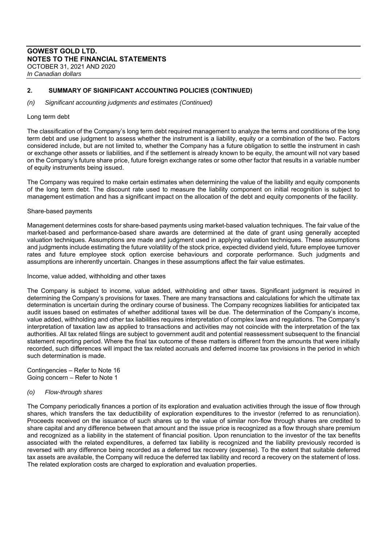# **2. SUMMARY OF SIGNIFICANT ACCOUNTING POLICIES (CONTINUED)**

*(n) Significant accounting judgments and estimates (Continued)* 

#### Long term debt

The classification of the Company's long term debt required management to analyze the terms and conditions of the long term debt and use judgment to assess whether the instrument is a liability, equity or a combination of the two. Factors considered include, but are not limited to, whether the Company has a future obligation to settle the instrument in cash or exchange other assets or liabilities, and if the settlement is already known to be equity, the amount will not vary based on the Company's future share price, future foreign exchange rates or some other factor that results in a variable number of equity instruments being issued.

The Company was required to make certain estimates when determining the value of the liability and equity components of the long term debt. The discount rate used to measure the liability component on initial recognition is subject to management estimation and has a significant impact on the allocation of the debt and equity components of the facility.

#### Share-based payments

Management determines costs for share-based payments using market-based valuation techniques. The fair value of the market-based and performance-based share awards are determined at the date of grant using generally accepted valuation techniques. Assumptions are made and judgment used in applying valuation techniques. These assumptions and judgments include estimating the future volatility of the stock price, expected dividend yield, future employee turnover rates and future employee stock option exercise behaviours and corporate performance. Such judgments and assumptions are inherently uncertain. Changes in these assumptions affect the fair value estimates.

#### Income, value added, withholding and other taxes

The Company is subject to income, value added, withholding and other taxes. Significant judgment is required in determining the Company's provisions for taxes. There are many transactions and calculations for which the ultimate tax determination is uncertain during the ordinary course of business. The Company recognizes liabilities for anticipated tax audit issues based on estimates of whether additional taxes will be due. The determination of the Company's income, value added, withholding and other tax liabilities requires interpretation of complex laws and regulations. The Company's interpretation of taxation law as applied to transactions and activities may not coincide with the interpretation of the tax authorities. All tax related filings are subject to government audit and potential reassessment subsequent to the financial statement reporting period. Where the final tax outcome of these matters is different from the amounts that were initially recorded, such differences will impact the tax related accruals and deferred income tax provisions in the period in which such determination is made.

Contingencies – Refer to Note 16 Going concern – Refer to Note 1

#### *(o) Flow-through shares*

The Company periodically finances a portion of its exploration and evaluation activities through the issue of flow through shares, which transfers the tax deductibility of exploration expenditures to the investor (referred to as renunciation). Proceeds received on the issuance of such shares up to the value of similar non-flow through shares are credited to share capital and any difference between that amount and the issue price is recognized as a flow through share premium and recognized as a liability in the statement of financial position. Upon renunciation to the investor of the tax benefits associated with the related expenditures, a deferred tax liability is recognized and the liability previously recorded is reversed with any difference being recorded as a deferred tax recovery (expense). To the extent that suitable deferred tax assets are available, the Company will reduce the deferred tax liability and record a recovery on the statement of loss. The related exploration costs are charged to exploration and evaluation properties.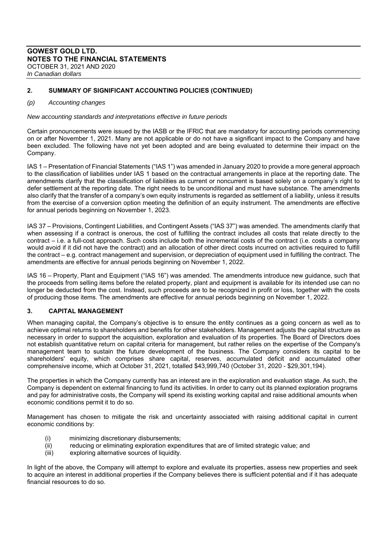# **2. SUMMARY OF SIGNIFICANT ACCOUNTING POLICIES (CONTINUED)**

#### *(p) Accounting changes*

*New accounting standards and interpretations effective in future periods* 

Certain pronouncements were issued by the IASB or the IFRIC that are mandatory for accounting periods commencing on or after November 1, 2021. Many are not applicable or do not have a significant impact to the Company and have been excluded. The following have not yet been adopted and are being evaluated to determine their impact on the Company.

IAS 1 – Presentation of Financial Statements ("IAS 1") was amended in January 2020 to provide a more general approach to the classification of liabilities under IAS 1 based on the contractual arrangements in place at the reporting date. The amendments clarify that the classification of liabilities as current or noncurrent is based solely on a company's right to defer settlement at the reporting date. The right needs to be unconditional and must have substance. The amendments also clarify that the transfer of a company's own equity instruments is regarded as settlement of a liability, unless it results from the exercise of a conversion option meeting the definition of an equity instrument. The amendments are effective for annual periods beginning on November 1, 2023.

IAS 37 – Provisions, Contingent Liabilities, and Contingent Assets ("IAS 37") was amended. The amendments clarify that when assessing if a contract is onerous, the cost of fulfilling the contract includes all costs that relate directly to the contract – i.e. a full-cost approach. Such costs include both the incremental costs of the contract (i.e. costs a company would avoid if it did not have the contract) and an allocation of other direct costs incurred on activities required to fulfill the contract – e.g. contract management and supervision, or depreciation of equipment used in fulfilling the contract. The amendments are effective for annual periods beginning on November 1, 2022.

IAS 16 – Property, Plant and Equipment ("IAS 16") was amended. The amendments introduce new guidance, such that the proceeds from selling items before the related property, plant and equipment is available for its intended use can no longer be deducted from the cost. Instead, such proceeds are to be recognized in profit or loss, together with the costs of producing those items. The amendments are effective for annual periods beginning on November 1, 2022.

#### **3. CAPITAL MANAGEMENT**

When managing capital, the Company's objective is to ensure the entity continues as a going concern as well as to achieve optimal returns to shareholders and benefits for other stakeholders. Management adjusts the capital structure as necessary in order to support the acquisition, exploration and evaluation of its properties. The Board of Directors does not establish quantitative return on capital criteria for management, but rather relies on the expertise of the Company's management team to sustain the future development of the business. The Company considers its capital to be shareholders' equity, which comprises share capital, reserves, accumulated deficit and accumulated other comprehensive income, which at October 31, 2021, totalled \$43,999,740 (October 31, 2020 - \$29,301,194).

The properties in which the Company currently has an interest are in the exploration and evaluation stage. As such, the Company is dependent on external financing to fund its activities. In order to carry out its planned exploration programs and pay for administrative costs, the Company will spend its existing working capital and raise additional amounts when economic conditions permit it to do so.

Management has chosen to mitigate the risk and uncertainty associated with raising additional capital in current economic conditions by:

- (i) minimizing discretionary disbursements;
- (ii) reducing or eliminating exploration expenditures that are of limited strategic value; and
- (iii) exploring alternative sources of liquidity.

In light of the above, the Company will attempt to explore and evaluate its properties, assess new properties and seek to acquire an interest in additional properties if the Company believes there is sufficient potential and if it has adequate financial resources to do so.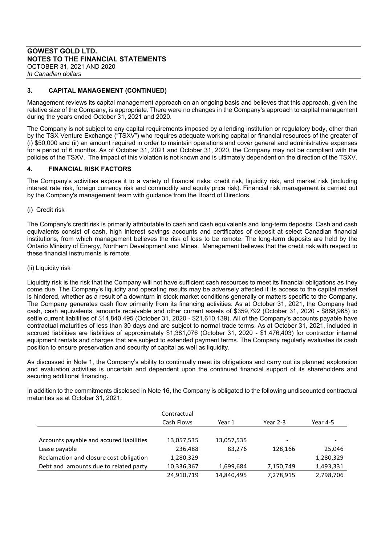# **GOWEST GOLD LTD. NOTES TO THE FINANCIAL STATEMENTS**  OCTOBER 31, 2021 AND 2020

*In Canadian dollars*

# **3. CAPITAL MANAGEMENT (CONTINUED)**

Management reviews its capital management approach on an ongoing basis and believes that this approach, given the relative size of the Company, is appropriate. There were no changes in the Company's approach to capital management during the years ended October 31, 2021 and 2020.

The Company is not subject to any capital requirements imposed by a lending institution or regulatory body, other than by the TSX Venture Exchange ("TSXV") who requires adequate working capital or financial resources of the greater of (i) \$50,000 and (ii) an amount required in order to maintain operations and cover general and administrative expenses for a period of 6 months. As of October 31, 2021 and October 31, 2020, the Company may not be compliant with the policies of the TSXV. The impact of this violation is not known and is ultimately dependent on the direction of the TSXV.

# **4. FINANCIAL RISK FACTORS**

The Company's activities expose it to a variety of financial risks: credit risk, liquidity risk, and market risk (including interest rate risk, foreign currency risk and commodity and equity price risk). Financial risk management is carried out by the Company's management team with guidance from the Board of Directors.

(i) Credit risk

The Company's credit risk is primarily attributable to cash and cash equivalents and long-term deposits. Cash and cash equivalents consist of cash, high interest savings accounts and certificates of deposit at select Canadian financial institutions, from which management believes the risk of loss to be remote. The long-term deposits are held by the Ontario Ministry of Energy, Northern Development and Mines. Management believes that the credit risk with respect to these financial instruments is remote.

#### (ii) Liquidity risk

Liquidity risk is the risk that the Company will not have sufficient cash resources to meet its financial obligations as they come due. The Company's liquidity and operating results may be adversely affected if its access to the capital market is hindered, whether as a result of a downturn in stock market conditions generally or matters specific to the Company. The Company generates cash flow primarily from its financing activities. As at October 31, 2021, the Company had cash, cash equivalents, amounts receivable and other current assets of \$359,792 (October 31, 2020 - \$868,965) to settle current liabilities of \$14,840,495 (October 31, 2020 - \$21,610,139). All of the Company's accounts payable have contractual maturities of less than 30 days and are subject to normal trade terms. As at October 31, 2021, included in accrued liabilities are liabilities of approximately \$1,381,076 (October 31, 2020 - \$1,476,403) for contractor internal equipment rentals and charges that are subject to extended payment terms. The Company regularly evaluates its cash position to ensure preservation and security of capital as well as liquidity.

As discussed in Note 1, the Company's ability to continually meet its obligations and carry out its planned exploration and evaluation activities is uncertain and dependent upon the continued financial support of its shareholders and securing additional financing**.** 

In addition to the commitments disclosed in Note 16, the Company is obligated to the following undiscounted contractual maturities as at October 31, 2021:

|                                          | Contractual |                          |            |           |
|------------------------------------------|-------------|--------------------------|------------|-----------|
|                                          | Cash Flows  | Year 1                   | Year $2-3$ | Year 4-5  |
|                                          |             |                          |            |           |
| Accounts payable and accured liabilities | 13,057,535  | 13,057,535               |            |           |
| Lease payable                            | 236,488     | 83.276                   | 128,166    | 25,046    |
| Reclamation and closure cost obligation  | 1,280,329   | $\overline{\phantom{a}}$ |            | 1,280,329 |
| Debt and amounts due to related party    | 10,336,367  | 1,699,684                | 7,150,749  | 1,493,331 |
|                                          | 24,910,719  | 14,840,495               | 7,278,915  | 2,798,706 |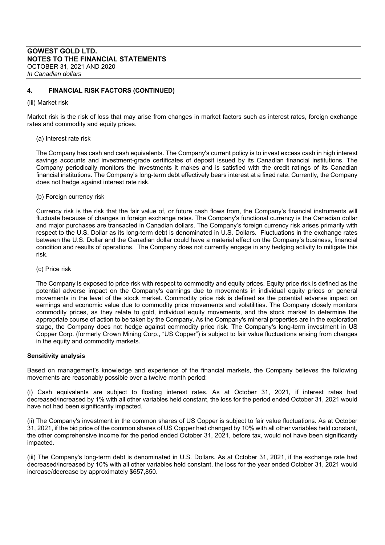# **4. FINANCIAL RISK FACTORS (CONTINUED)**

(iii) Market risk

Market risk is the risk of loss that may arise from changes in market factors such as interest rates, foreign exchange rates and commodity and equity prices.

(a) Interest rate risk

The Company has cash and cash equivalents. The Company's current policy is to invest excess cash in high interest savings accounts and investment-grade certificates of deposit issued by its Canadian financial institutions. The Company periodically monitors the investments it makes and is satisfied with the credit ratings of its Canadian financial institutions. The Company's long-term debt effectively bears interest at a fixed rate. Currently, the Company does not hedge against interest rate risk.

(b) Foreign currency risk

Currency risk is the risk that the fair value of, or future cash flows from, the Company's financial instruments will fluctuate because of changes in foreign exchange rates. The Company's functional currency is the Canadian dollar and major purchases are transacted in Canadian dollars. The Company's foreign currency risk arises primarily with respect to the U.S. Dollar as its long-term debt is denominated in U.S. Dollars. Fluctuations in the exchange rates between the U.S. Dollar and the Canadian dollar could have a material effect on the Company's business, financial condition and results of operations. The Company does not currently engage in any hedging activity to mitigate this risk.

(c) Price risk

The Company is exposed to price risk with respect to commodity and equity prices. Equity price risk is defined as the potential adverse impact on the Company's earnings due to movements in individual equity prices or general movements in the level of the stock market. Commodity price risk is defined as the potential adverse impact on earnings and economic value due to commodity price movements and volatilities. The Company closely monitors commodity prices, as they relate to gold, individual equity movements, and the stock market to determine the appropriate course of action to be taken by the Company. As the Company's mineral properties are in the exploration stage, the Company does not hedge against commodity price risk. The Company's long-term investment in US Copper Corp. (formerly Crown Mining Corp., "US Copper") is subject to fair value fluctuations arising from changes in the equity and commodity markets.

#### **Sensitivity analysis**

Based on management's knowledge and experience of the financial markets, the Company believes the following movements are reasonably possible over a twelve month period:

(i) Cash equivalents are subject to floating interest rates. As at October 31, 2021, if interest rates had decreased/increased by 1% with all other variables held constant, the loss for the period ended October 31, 2021 would have not had been significantly impacted.

(ii) The Company's investment in the common shares of US Copper is subject to fair value fluctuations. As at October 31, 2021, if the bid price of the common shares of US Copper had changed by 10% with all other variables held constant, the other comprehensive income for the period ended October 31, 2021, before tax, would not have been significantly impacted.

(iii) The Company's long-term debt is denominated in U.S. Dollars. As at October 31, 2021, if the exchange rate had decreased/increased by 10% with all other variables held constant, the loss for the year ended October 31, 2021 would increase/decrease by approximately \$657,850.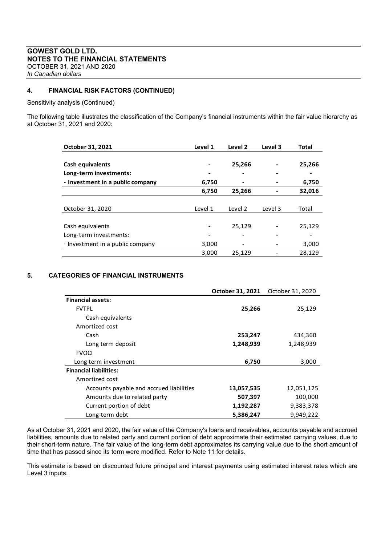# **4. FINANCIAL RISK FACTORS (CONTINUED)**

Sensitivity analysis (Continued)

The following table illustrates the classification of the Company's financial instruments within the fair value hierarchy as at October 31, 2021 and 2020:

| October 31, 2021                 | Level 1 | Level 2 | Level 3 | <b>Total</b> |
|----------------------------------|---------|---------|---------|--------------|
|                                  |         |         |         |              |
| <b>Cash equivalents</b>          | -       | 25,266  |         | 25,266       |
| Long-term investments:           |         |         |         |              |
| - Investment in a public company | 6,750   |         |         | 6,750        |
|                                  | 6,750   | 25,266  |         | 32,016       |
|                                  |         |         |         |              |
| October 31, 2020                 | Level 1 | Level 2 | Level 3 | Total        |
|                                  |         |         |         |              |
| Cash equivalents                 |         | 25,129  |         | 25,129       |
| Long-term investments:           |         |         |         |              |
| - Investment in a public company | 3,000   |         |         | 3,000        |
|                                  | 3,000   | 25,129  |         | 28,129       |

# **5. CATEGORIES OF FINANCIAL INSTRUMENTS**

|                                          | October 31, 2021 | October 31, 2020 |
|------------------------------------------|------------------|------------------|
| <b>Financial assets:</b>                 |                  |                  |
| <b>FVTPI</b>                             | 25,266           | 25,129           |
| Cash equivalents                         |                  |                  |
| Amortized cost                           |                  |                  |
| Cash                                     | 253,247          | 434,360          |
| Long term deposit                        | 1,248,939        | 1,248,939        |
| <b>FVOCI</b>                             |                  |                  |
| Long term investment                     | 6,750            | 3,000            |
| <b>Financial liabilities:</b>            |                  |                  |
| Amortized cost                           |                  |                  |
| Accounts payable and accrued liabilities | 13,057,535       | 12,051,125       |
| Amounts due to related party             | 507,397          | 100,000          |
| Current portion of debt                  | 1,192,287        | 9,383,378        |
| Long-term debt                           | 5,386,247        | 9.949.222        |

As at October 31, 2021 and 2020, the fair value of the Company's loans and receivables, accounts payable and accrued liabilities, amounts due to related party and current portion of debt approximate their estimated carrying values, due to their short-term nature. The fair value of the long-term debt approximates its carrying value due to the short amount of time that has passed since its term were modified. Refer to Note 11 for details.

This estimate is based on discounted future principal and interest payments using estimated interest rates which are Level 3 inputs.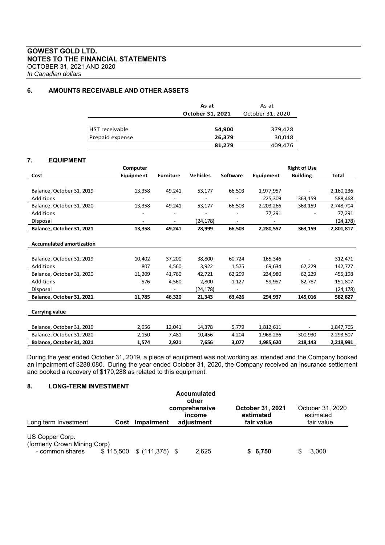# **GOWEST GOLD LTD. NOTES TO THE FINANCIAL STATEMENTS**  OCTOBER 31, 2021 AND 2020

*In Canadian dollars*

# **6. AMOUNTS RECEIVABLE AND OTHER ASSETS**

|                       | As at            | As at            |  |  |
|-----------------------|------------------|------------------|--|--|
|                       | October 31, 2021 | October 31, 2020 |  |  |
|                       |                  |                  |  |  |
| <b>HST</b> receivable | 54,900           | 379,428          |  |  |
| Prepaid expense       | 26,379           | 30,048           |  |  |
|                       | 81,279           | 409,476          |  |  |

# **7. EQUIPMENT**

|                                 | Computer                 |                  |                 |          |           | <b>Right of Use</b> |              |
|---------------------------------|--------------------------|------------------|-----------------|----------|-----------|---------------------|--------------|
| Cost                            | Equipment                | <b>Furniture</b> | <b>Vehicles</b> | Software | Equipment | <b>Building</b>     | <b>Total</b> |
|                                 |                          |                  |                 |          |           |                     |              |
| Balance, October 31, 2019       | 13,358                   | 49,241           | 53,177          | 66,503   | 1,977,957 |                     | 2,160,236    |
| Additions                       |                          |                  |                 |          | 225,309   | 363,159             | 588,468      |
| Balance, October 31, 2020       | 13,358                   | 49,241           | 53,177          | 66,503   | 2,203,266 | 363,159             | 2,748,704    |
| Additions                       |                          |                  |                 |          | 77,291    |                     | 77,291       |
| Disposal                        | $\overline{\phantom{a}}$ | ٠                | (24,178)        |          |           |                     | (24,178)     |
| Balance, October 31, 2021       | 13,358                   | 49,241           | 28,999          | 66,503   | 2,280,557 | 363,159             | 2,801,817    |
|                                 |                          |                  |                 |          |           |                     |              |
| <b>Accumulated amortization</b> |                          |                  |                 |          |           |                     |              |
|                                 |                          |                  |                 |          |           |                     |              |
| Balance, October 31, 2019       | 10,402                   | 37,200           | 38,800          | 60,724   | 165,346   |                     | 312,471      |
| Additions                       | 807                      | 4,560            | 3,922           | 1,575    | 69,634    | 62,229              | 142,727      |
| Balance, October 31, 2020       | 11,209                   | 41,760           | 42,721          | 62,299   | 234,980   | 62,229              | 455,198      |
| Additions                       | 576                      | 4,560            | 2,800           | 1,127    | 59,957    | 82,787              | 151,807      |
| Disposal                        | -                        |                  | (24,178)        |          |           |                     | (24, 178)    |
| Balance, October 31, 2021       | 11,785                   | 46,320           | 21,343          | 63,426   | 294,937   | 145,016             | 582,827      |
|                                 |                          |                  |                 |          |           |                     |              |
| Carrying value                  |                          |                  |                 |          |           |                     |              |
|                                 |                          |                  |                 |          |           |                     |              |
| Balance, October 31, 2019       | 2,956                    | 12,041           | 14,378          | 5,779    | 1,812,611 |                     | 1,847,765    |
| Balance, October 31, 2020       | 2,150                    | 7,481            | 10,456          | 4,204    | 1,968,286 | 300,930             | 2,293,507    |
| Balance, October 31, 2021       | 1,574                    | 2,921            | 7,656           | 3,077    | 1,985,620 | 218,143             | 2,218,991    |

During the year ended October 31, 2019, a piece of equipment was not working as intended and the Company booked an impairment of \$288,080. During the year ended October 31, 2020, the Company received an insurance settlement and booked a recovery of \$170,288 as related to this equipment.

# **8. LONG-TERM INVESTMENT**

|                                                                    |      |                                     | <b>Accumulated</b><br>other<br>comprehensive<br>income |       | <b>October 31, 2021</b><br>estimated | October 31, 2020<br>estimated |
|--------------------------------------------------------------------|------|-------------------------------------|--------------------------------------------------------|-------|--------------------------------------|-------------------------------|
| Long term Investment                                               | Cost | <b>Impairment</b>                   | adjustment                                             |       | fair value                           | fair value                    |
| US Copper Corp.<br>(formerly Crown Mining Corp)<br>- common shares |      | $$115,500 \quad $(111,375) \quad $$ |                                                        | 2,625 | \$6,750                              | 3.000                         |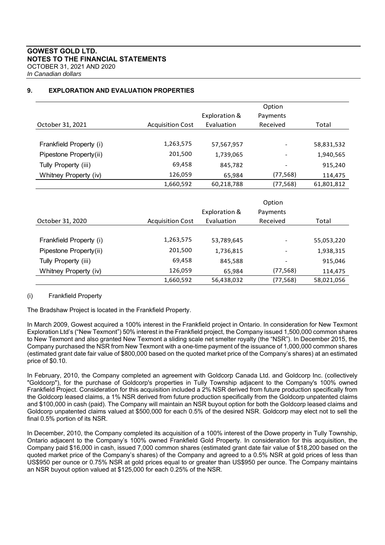|                         |                         |               | Option                   |            |
|-------------------------|-------------------------|---------------|--------------------------|------------|
|                         |                         | Exploration & | Payments                 |            |
| October 31, 2021        | <b>Acquisition Cost</b> | Evaluation    | Received                 | Total      |
|                         |                         |               |                          |            |
| Frankfield Property (i) | 1,263,575               | 57,567,957    |                          | 58,831,532 |
| Pipestone Property(ii)  | 201,500                 | 1,739,065     |                          | 1,940,565  |
| Tully Property (iii)    | 69,458                  | 845,782       | $\overline{\phantom{a}}$ | 915,240    |
| Whitney Property (iv)   | 126,059                 | 65,984        | (77, 568)                | 114,475    |
|                         | 1,660,592               | 60,218,788    | (77, 568)                | 61,801,812 |
|                         |                         |               |                          |            |
|                         |                         |               | Option                   |            |
|                         |                         | Exploration & | Payments                 |            |
| October 31, 2020        | <b>Acquisition Cost</b> | Evaluation    | Received                 | Total      |
|                         |                         |               |                          |            |
| Frankfield Property (i) | 1,263,575               | 53,789,645    |                          | 55,053,220 |
| Pipestone Property(ii)  | 201,500                 | 1,736,815     |                          | 1,938,315  |
| Tully Property (iii)    | 69,458                  | 845,588       | $\overline{\phantom{a}}$ | 915,046    |
| Whitney Property (iv)   | 126,059                 | 65,984        | (77, 568)                | 114,475    |
|                         | 1,660,592               | 56,438,032    | (77, 568)                | 58,021,056 |

# **9. EXPLORATION AND EVALUATION PROPERTIES**

#### (i) Frankfield Property

The Bradshaw Project is located in the Frankfield Property.

In March 2009, Gowest acquired a 100% interest in the Frankfield project in Ontario. In consideration for New Texmont Exploration Ltd's ("New Texmont") 50% interest in the Frankfield project, the Company issued 1,500,000 common shares to New Texmont and also granted New Texmont a sliding scale net smelter royalty (the "NSR"). In December 2015, the Company purchased the NSR from New Texmont with a one-time payment of the issuance of 1,000,000 common shares (estimated grant date fair value of \$800,000 based on the quoted market price of the Company's shares) at an estimated price of \$0.10.

In February, 2010, the Company completed an agreement with Goldcorp Canada Ltd. and Goldcorp Inc. (collectively "Goldcorp"), for the purchase of Goldcorp's properties in Tully Township adjacent to the Company's 100% owned Frankfield Project. Consideration for this acquisition included a 2% NSR derived from future production specifically from the Goldcorp leased claims, a 1% NSR derived from future production specifically from the Goldcorp unpatented claims and \$100,000 in cash (paid). The Company will maintain an NSR buyout option for both the Goldcorp leased claims and Goldcorp unpatented claims valued at \$500,000 for each 0.5% of the desired NSR. Goldcorp may elect not to sell the final 0.5% portion of its NSR.

In December, 2010, the Company completed its acquisition of a 100% interest of the Dowe property in Tully Township, Ontario adjacent to the Company's 100% owned Frankfield Gold Property. In consideration for this acquisition, the Company paid \$16,000 in cash, issued 7,000 common shares (estimated grant date fair value of \$18,200 based on the quoted market price of the Company's shares) of the Company and agreed to a 0.5% NSR at gold prices of less than US\$950 per ounce or 0.75% NSR at gold prices equal to or greater than US\$950 per ounce. The Company maintains an NSR buyout option valued at \$125,000 for each 0.25% of the NSR.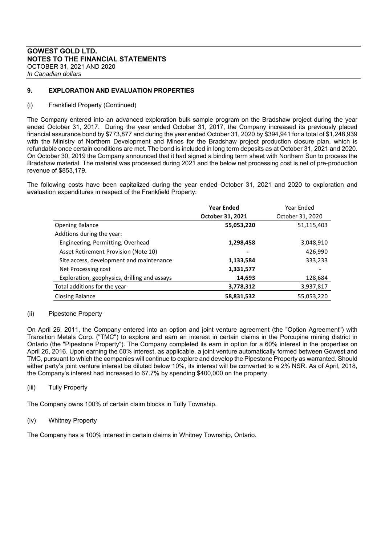# **9. EXPLORATION AND EVALUATION PROPERTIES**

#### (i) Frankfield Property (Continued)

The Company entered into an advanced exploration bulk sample program on the Bradshaw project during the year ended October 31, 2017. During the year ended October 31, 2017, the Company increased its previously placed financial assurance bond by \$773,877 and during the year ended October 31, 2020 by \$394,941 for a total of \$1,248,939 with the Ministry of Northern Development and Mines for the Bradshaw project production closure plan, which is refundable once certain conditions are met. The bond is included in long term deposits as at October 31, 2021 and 2020. On October 30, 2019 the Company announced that it had signed a binding term sheet with Northern Sun to process the Bradshaw material. The material was processed during 2021 and the below net processing cost is net of pre-production revenue of \$853,179.

The following costs have been capitalized during the year ended October 31, 2021 and 2020 to exploration and evaluation expenditures in respect of the Frankfield Property:

|                                              | <b>Year Ended</b> | Year Ended       |
|----------------------------------------------|-------------------|------------------|
|                                              | October 31, 2021  | October 31, 2020 |
| <b>Opening Balance</b>                       | 55,053,220        | 51,115,403       |
| Addtions during the year:                    |                   |                  |
| Engineering, Permitting, Overhead            | 1,298,458         | 3,048,910        |
| Asset Retirement Provision (Note 10)         | ۰                 | 426,990          |
| Site access, development and maintenance     | 1,133,584         | 333,233          |
| Net Processing cost                          | 1,331,577         |                  |
| Exploration, geophysics, drilling and assays | 14,693            | 128,684          |
| Total additions for the year                 | 3,778,312         | 3,937,817        |
| Closing Balance                              | 58,831,532        | 55,053,220       |

#### (ii) Pipestone Property

On April 26, 2011, the Company entered into an option and joint venture agreement (the "Option Agreement") with Transition Metals Corp. ("TMC") to explore and earn an interest in certain claims in the Porcupine mining district in Ontario (the "Pipestone Property"). The Company completed its earn in option for a 60% interest in the properties on April 26, 2016. Upon earning the 60% interest, as applicable, a joint venture automatically formed between Gowest and TMC, pursuant to which the companies will continue to explore and develop the Pipestone Property as warranted. Should either party's joint venture interest be diluted below 10%, its interest will be converted to a 2% NSR. As of April, 2018, the Company's interest had increased to 67.7% by spending \$400,000 on the property.

#### (iii) Tully Property

The Company owns 100% of certain claim blocks in Tully Township.

#### (iv) Whitney Property

The Company has a 100% interest in certain claims in Whitney Township, Ontario.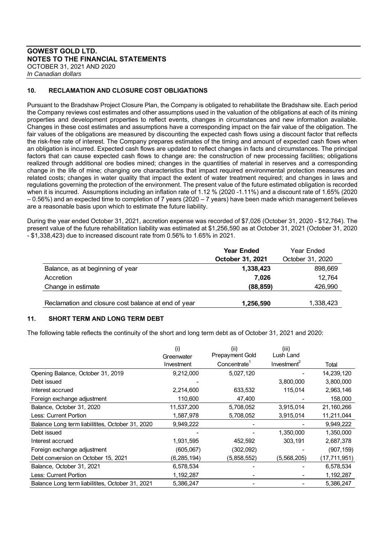# **GOWEST GOLD LTD. NOTES TO THE FINANCIAL STATEMENTS**  OCTOBER 31, 2021 AND 2020

*In Canadian dollars*

# **10. RECLAMATION AND CLOSURE COST OBLIGATIONS**

Pursuant to the Bradshaw Project Closure Plan, the Company is obligated to rehabilitate the Bradshaw site. Each period the Company reviews cost estimates and other assumptions used in the valuation of the obligations at each of its mining properties and development properties to reflect events, changes in circumstances and new information available. Changes in these cost estimates and assumptions have a corresponding impact on the fair value of the obligation. The fair values of the obligations are measured by discounting the expected cash flows using a discount factor that reflects the risk-free rate of interest. The Company prepares estimates of the timing and amount of expected cash flows when an obligation is incurred. Expected cash flows are updated to reflect changes in facts and circumstances. The principal factors that can cause expected cash flows to change are: the construction of new processing facilities; obligations realized through additional ore bodies mined; changes in the quantities of material in reserves and a corresponding change in the life of mine; changing ore characteristics that impact required environmental protection measures and related costs; changes in water quality that impact the extent of water treatment required; and changes in laws and regulations governing the protection of the environment. The present value of the future estimated obligation is recorded when it is incurred. Assumptions including an inflation rate of 1.12 % (2020 -1.11%) and a discount rate of 1.65% (2020 – 0.56%) and an expected time to completion of 7 years (2020 – 7 years) have been made which management believes are a reasonable basis upon which to estimate the future liability.

During the year ended October 31, 2021, accretion expense was recorded of \$7,026 (October 31, 2020 - \$12,764). The present value of the future rehabilitation liability was estimated at \$1,256,590 as at October 31, 2021 (October 31, 2020 - \$1,338,423) due to increased discount rate from 0.56% to 1.65% in 2021.

|                                                     | <b>Year Ended</b><br>October 31, 2021 | Year Ended<br>October 31, 2020 |
|-----------------------------------------------------|---------------------------------------|--------------------------------|
| Balance, as at beginning of year                    | 1,338,423                             | 898,669                        |
| Accretion                                           | 7.026                                 | 12,764                         |
| Change in estimate                                  | (88, 859)                             | 426,990                        |
| Reclamation and closure cost balance at end of year | 1,256,590                             | 1,338,423                      |

# **11. SHORT TERM AND LONG TERM DEBT**

The following table reflects the continuity of the short and long term debt as of October 31, 2021 and 2020:

|                                                  | (i)           | (ii)            | (iii)                   |                |
|--------------------------------------------------|---------------|-----------------|-------------------------|----------------|
|                                                  | Greenwater    | Prepayment Gold | Lush Land               |                |
|                                                  | Investment    | Concentrate     | Investment <sup>2</sup> | Total          |
| Opening Balance, October 31, 2019                | 9,212,000     | 5,027,120       |                         | 14,239,120     |
| Debt issued                                      |               |                 | 3,800,000               | 3,800,000      |
| Interest accrued                                 | 2,214,600     | 633,532         | 115,014                 | 2,963,146      |
| Foreign exchange adjustment                      | 110,600       | 47,400          |                         | 158,000        |
| Balance, October 31, 2020                        | 11,537,200    | 5,708,052       | 3,915,014               | 21,160,266     |
| Less: Current Portion                            | 1,587,978     | 5,708,052       | 3,915,014               | 11,211,044     |
| Balance Long term liabilitites, October 31, 2020 | 9,949,222     |                 |                         | 9,949,222      |
| Debt issued                                      |               |                 | 1,350,000               | 1,350,000      |
| Interest accrued                                 | 1,931,595     | 452,592         | 303,191                 | 2,687,378      |
| Foreign exchange adjustment                      | (605,067)     | (302,092)       |                         | (907, 159)     |
| Debt conversion on October 15, 2021              | (6, 285, 194) | (5,858,552)     | (5,568,205)             | (17, 711, 951) |
| Balance, October 31, 2021                        | 6,578,534     |                 |                         | 6,578,534      |
| Less: Current Portion                            | 1,192,287     |                 |                         | 1,192,287      |
| Balance Long term liabilitites, October 31, 2021 | 5,386,247     |                 |                         | 5,386,247      |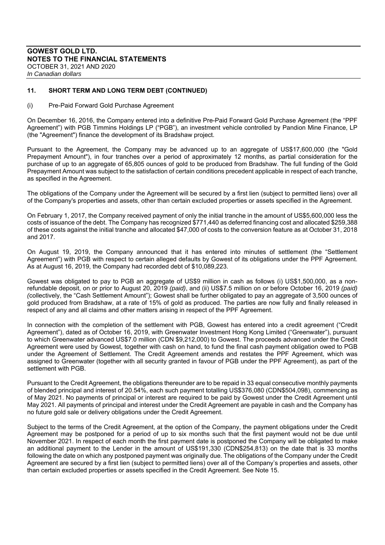# **11. SHORT TERM AND LONG TERM DEBT (CONTINUED)**

#### (i) Pre-Paid Forward Gold Purchase Agreement

On December 16, 2016, the Company entered into a definitive Pre-Paid Forward Gold Purchase Agreement (the "PPF Agreement") with PGB Timmins Holdings LP ("PGB"), an investment vehicle controlled by Pandion Mine Finance, LP (the "Agreement") finance the development of its Bradshaw project.

Pursuant to the Agreement, the Company may be advanced up to an aggregate of US\$17,600,000 (the "Gold Prepayment Amount"), in four tranches over a period of approximately 12 months, as partial consideration for the purchase of up to an aggregate of 65,805 ounces of gold to be produced from Bradshaw. The full funding of the Gold Prepayment Amount was subject to the satisfaction of certain conditions precedent applicable in respect of each tranche, as specified in the Agreement.

The obligations of the Company under the Agreement will be secured by a first lien (subject to permitted liens) over all of the Company's properties and assets, other than certain excluded properties or assets specified in the Agreement.

On February 1, 2017, the Company received payment of only the initial tranche in the amount of US\$5,600,000 less the costs of issuance of the debt. The Company has recognized \$771,440 as deferred financing cost and allocated \$259,388 of these costs against the initial tranche and allocated \$47,000 of costs to the conversion feature as at October 31, 2018 and 2017.

On August 19, 2019, the Company announced that it has entered into minutes of settlement (the "Settlement Agreement") with PGB with respect to certain alleged defaults by Gowest of its obligations under the PPF Agreement. As at August 16, 2019, the Company had recorded debt of \$10,089,223.

Gowest was obligated to pay to PGB an aggregate of US\$9 million in cash as follows (i) US\$1,500,000, as a nonrefundable deposit, on or prior to August 20, 2019 *(paid)*, and (ii) US\$7.5 million on or before October 16, 2019 *(paid) (*collectively, the "Cash Settlement Amount"); Gowest shall be further obligated to pay an aggregate of 3,500 ounces of gold produced from Bradshaw, at a rate of 15% of gold as produced. The parties are now fully and finally released in respect of any and all claims and other matters arising in respect of the PPF Agreement.

In connection with the completion of the settlement with PGB, Gowest has entered into a credit agreement ("Credit Agreement"), dated as of October 16, 2019, with Greenwater Investment Hong Kong Limited ("Greenwater"), pursuant to which Greenwater advanced US\$7.0 million (CDN \$9,212,000) to Gowest. The proceeds advanced under the Credit Agreement were used by Gowest, together with cash on hand, to fund the final cash payment obligation owed to PGB under the Agreement of Settlement. The Credit Agreement amends and restates the PPF Agreement, which was assigned to Greenwater (together with all security granted in favour of PGB under the PPF Agreement), as part of the settlement with PGB.

Pursuant to the Credit Agreement, the obligations thereunder are to be repaid in 33 equal consecutive monthly payments of blended principal and interest of 20.54%, each such payment totalling US\$376,080 (CDN\$504,098), commencing as of May 2021. No payments of principal or interest are required to be paid by Gowest under the Credit Agreement until May 2021. All payments of principal and interest under the Credit Agreement are payable in cash and the Company has no future gold sale or delivery obligations under the Credit Agreement.

Subject to the terms of the Credit Agreement, at the option of the Company, the payment obligations under the Credit Agreement may be postponed for a period of up to six months such that the first payment would not be due until November 2021. In respect of each month the first payment date is postponed the Company will be obligated to make an additional payment to the Lender in the amount of US\$191,330 (CDN\$254,813) on the date that is 33 months following the date on which any postponed payment was originally due. The obligations of the Company under the Credit Agreement are secured by a first lien (subject to permitted liens) over all of the Company's properties and assets, other than certain excluded properties or assets specified in the Credit Agreement. See Note 15.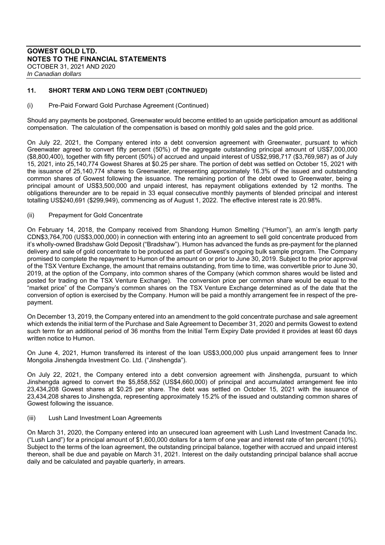# **11. SHORT TERM AND LONG TERM DEBT (CONTINUED)**

#### (i) Pre-Paid Forward Gold Purchase Agreement (Continued)

Should any payments be postponed, Greenwater would become entitled to an upside participation amount as additional compensation. The calculation of the compensation is based on monthly gold sales and the gold price.

On July 22, 2021, the Company entered into a debt conversion agreement with Greenwater, pursuant to which Greenwater agreed to convert fifty percent (50%) of the aggregate outstanding principal amount of US\$7,000,000 (\$8,800,400), together with fifty percent (50%) of accrued and unpaid interest of US\$2,998,717 (\$3,769,987) as of July 15, 2021, into 25,140,774 Gowest Shares at \$0.25 per share. The portion of debt was settled on October 15, 2021 with the issuance of 25,140,774 shares to Greenwater, representing approximately 16.3% of the issued and outstanding common shares of Gowest following the issuance. The remaining portion of the debt owed to Greenwater, being a principal amount of US\$3,500,000 and unpaid interest, has repayment obligations extended by 12 months. The obligations thereunder are to be repaid in 33 equal consecutive monthly payments of blended principal and interest totalling US\$240,691 (\$299,949), commencing as of August 1, 2022. The effective interest rate is 20.98%.

#### (ii) Prepayment for Gold Concentrate

On February 14, 2018, the Company received from Shandong Humon Smelting ("Humon"), an arm's length party CDN\$3,764,700 (US\$3,000,000) in connection with entering into an agreement to sell gold concentrate produced from it's wholly-owned Bradshaw Gold Deposit ("Bradshaw"). Humon has advanced the funds as pre-payment for the planned delivery and sale of gold concentrate to be produced as part of Gowest's ongoing bulk sample program. The Company promised to complete the repayment to Humon of the amount on or prior to June 30, 2019. Subject to the prior approval of the TSX Venture Exchange, the amount that remains outstanding, from time to time, was convertible prior to June 30, 2019, at the option of the Company, into common shares of the Company (which common shares would be listed and posted for trading on the TSX Venture Exchange). The conversion price per common share would be equal to the "market price" of the Company's common shares on the TSX Venture Exchange determined as of the date that the conversion of option is exercised by the Company. Humon will be paid a monthly arrangement fee in respect of the prepayment.

On December 13, 2019, the Company entered into an amendment to the gold concentrate purchase and sale agreement which extends the initial term of the Purchase and Sale Agreement to December 31, 2020 and permits Gowest to extend such term for an additional period of 36 months from the Initial Term Expiry Date provided it provides at least 60 days written notice to Humon.

On June 4, 2021, Humon transferred its interest of the loan US\$3,000,000 plus unpaid arrangement fees to Inner Mongolia Jinshengda Investment Co. Ltd. ("Jinshengda").

On July 22, 2021, the Company entered into a debt conversion agreement with Jinshengda, pursuant to which Jinshengda agreed to convert the \$5,858,552 (US\$4,660,000) of principal and accumulated arrangement fee into 23,434,208 Gowest shares at \$0.25 per share. The debt was settled on October 15, 2021 with the issuance of 23,434,208 shares to Jinshengda, representing approximately 15.2% of the issued and outstanding common shares of Gowest following the issuance.

#### (iii) Lush Land Investment Loan Agreements

On March 31, 2020, the Company entered into an unsecured loan agreement with Lush Land Investment Canada Inc. ("Lush Land") for a principal amount of \$1,600,000 dollars for a term of one year and interest rate of ten percent (10%). Subject to the terms of the loan agreement, the outstanding principal balance, together with accrued and unpaid interest thereon, shall be due and payable on March 31, 2021. Interest on the daily outstanding principal balance shall accrue daily and be calculated and payable quarterly, in arrears.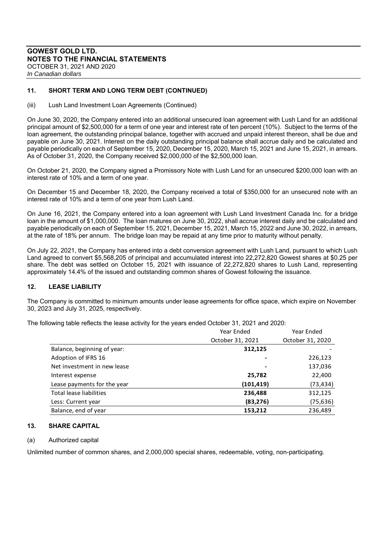# **11. SHORT TERM AND LONG TERM DEBT (CONTINUED)**

(iii) Lush Land Investment Loan Agreements (Continued)

On June 30, 2020, the Company entered into an additional unsecured loan agreement with Lush Land for an additional principal amount of \$2,500,000 for a term of one year and interest rate of ten percent (10%). Subject to the terms of the loan agreement, the outstanding principal balance, together with accrued and unpaid interest thereon, shall be due and payable on June 30, 2021. Interest on the daily outstanding principal balance shall accrue daily and be calculated and payable periodically on each of September 15, 2020, December 15, 2020, March 15, 2021 and June 15, 2021, in arrears. As of October 31, 2020, the Company received \$2,000,000 of the \$2,500,000 loan.

On October 21, 2020, the Company signed a Promissory Note with Lush Land for an unsecured \$200,000 loan with an interest rate of 10% and a term of one year.

On December 15 and December 18, 2020, the Company received a total of \$350,000 for an unsecured note with an interest rate of 10% and a term of one year from Lush Land.

On June 16, 2021, the Company entered into a loan agreement with Lush Land Investment Canada Inc. for a bridge loan in the amount of \$1,000,000. The loan matures on June 30, 2022, shall accrue interest daily and be calculated and payable periodically on each of September 15, 2021, December 15, 2021, March 15, 2022 and June 30, 2022, in arrears, at the rate of 18% per annum. The bridge loan may be repaid at any time prior to maturity without penalty.

On July 22, 2021, the Company has entered into a debt conversion agreement with Lush Land, pursuant to which Lush Land agreed to convert \$5,568,205 of principal and accumulated interest into 22,272,820 Gowest shares at \$0.25 per share. The debt was settled on October 15, 2021 with issuance of 22,272,820 shares to Lush Land, representing approximately 14.4% of the issued and outstanding common shares of Gowest following the issuance.

#### **12. LEASE LIABILITY**

The Company is committed to minimum amounts under lease agreements for office space, which expire on November 30, 2023 and July 31, 2025, respectively.

The following table reflects the lease activity for the years ended October 31, 2021 and 2020:

|                             | Year Ended               | Year Ended       |
|-----------------------------|--------------------------|------------------|
|                             | October 31, 2021         | October 31, 2020 |
| Balance, beginning of year: | 312,125                  |                  |
| Adoption of IFRS 16         |                          | 226,123          |
| Net investment in new lease | $\overline{\phantom{0}}$ | 137,036          |
| Interest expense            | 25,782                   | 22,400           |
| Lease payments for the year | (101, 419)               | (73, 434)        |
| Total lease liabilities     | 236,488                  | 312,125          |
| Less: Current year          | (83,276)                 | (75, 636)        |
| Balance, end of year        | 153,212                  | 236,489          |

#### **13. SHARE CAPITAL**

#### (a) Authorized capital

Unlimited number of common shares, and 2,000,000 special shares, redeemable, voting, non-participating.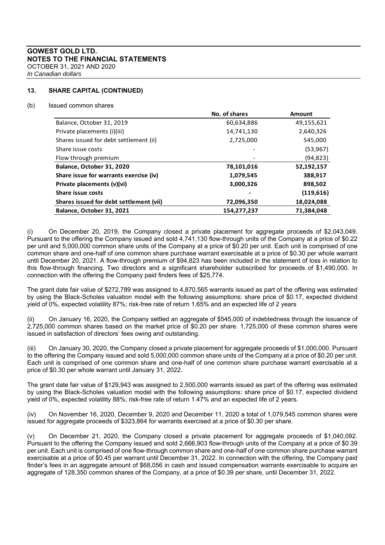# **13. SHARE CAPITAL (CONTINUED)**

#### (b) Issued common shares

|                                         | No. of shares | <b>Amount</b> |
|-----------------------------------------|---------------|---------------|
| Balance, October 31, 2019               | 60,634,886    | 49,155,621    |
| Private placements (i)(iii)             | 14,741,130    | 2,640,326     |
| Shares issued for debt settlement (ii)  | 2,725,000     | 545,000       |
| Share issue costs                       |               | (53, 967)     |
| Flow through premium                    |               | (94, 823)     |
| Balance, October 31, 2020               | 78,101,016    | 52,192,157    |
| Share issue for warrants exercise (iv)  | 1,079,545     | 388,917       |
| Private placements (v)(vi)              | 3,000,326     | 898,502       |
| Share issue costs                       |               | (119,616)     |
| Shares issued for debt settlement (vii) | 72,096,350    | 18,024,088    |
| Balance, October 31, 2021               | 154,277,237   | 71,384,048    |

(i) On December 20, 2019, the Company closed a private placement for aggregate proceeds of \$2,043,049. Pursuant to the offering the Company issued and sold 4,741,130 flow-through units of the Company at a price of \$0.22 per unit and 5,000,000 common share units of the Company at a price of \$0.20 per unit. Each unit is comprised of one common share and one-half of one common share purchase warrant exercisable at a price of \$0.30 per whole warrant until December 20, 2021. A flow-through premium of \$94,823 has been included in the statement of loss in relation to this flow-through financing. Two directors and a significant shareholder subscribed for proceeds of \$1,490,000. In connection with the offering the Company paid finders fees of \$25,774.

The grant date fair value of \$272,789 was assigned to 4,870,565 warrants issued as part of the offering was estimated by using the Black-Scholes valuation model with the following assumptions: share price of \$0.17, expected dividend yield of 0%, expected volatility 87%; risk-free rate of return 1.65% and an expected life of 2 years

On January 16, 2020, the Company settled an aggregate of \$545,000 of indebtedness through the issuance of 2,725,000 common shares based on the market price of \$0.20 per share. 1,725,000 of these common shares were issued in satisfaction of directors' fees owing and outstanding.

(iii) On January 30, 2020, the Company closed a private placement for aggregate proceeds of \$1,000,000. Pursuant to the offering the Company issued and sold 5,000,000 common share units of the Company at a price of \$0.20 per unit. Each unit is comprised of one common share and one-half of one common share purchase warrant exercisable at a price of \$0.30 per whole warrant until January 31, 2022.

The grant date fair value of \$129,943 was assigned to 2,500,000 warrants issued as part of the offering was estimated by using the Black-Scholes valuation model with the following assumptions: share price of \$0.17, expected dividend yield of 0%, expected volatility 88%; risk-free rate of return 1.47% and an expected life of 2 years.

(iv) On November 16, 2020, December 9, 2020 and December 11, 2020 a total of 1,079,545 common shares were issued for aggregate proceeds of \$323,864 for warrants exercised at a price of \$0.30 per share.

(v) On December 21, 2020, the Company closed a private placement for aggregate proceeds of \$1,040,092. Pursuant to the offering the Company issued and sold 2,666,903 flow-through units of the Company at a price of \$0.39 per unit. Each unit is comprised of one flow-through common share and one-half of one common share purchase warrant exercisable at a price of \$0.45 per warrant until December 31, 2022. In connection with the offering, the Company paid finder's fees in an aggregate amount of \$68,056 in cash and issued compensation warrants exercisable to acquire an aggregate of 128,350 common shares of the Company, at a price of \$0.39 per share, until December 31, 2022.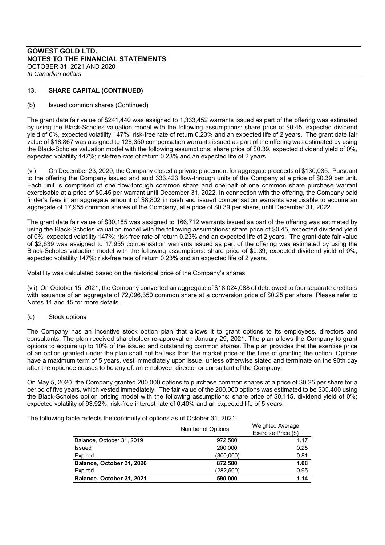# **13. SHARE CAPITAL (CONTINUED)**

#### (b) Issued common shares (Continued)

The grant date fair value of \$241,440 was assigned to 1,333,452 warrants issued as part of the offering was estimated by using the Black-Scholes valuation model with the following assumptions: share price of \$0.45, expected dividend yield of 0%, expected volatility 147%; risk-free rate of return 0.23% and an expected life of 2 years, The grant date fair value of \$18,867 was assigned to 128,350 compensation warrants issued as part of the offering was estimated by using the Black-Scholes valuation model with the following assumptions: share price of \$0.39, expected dividend yield of 0%, expected volatility 147%; risk-free rate of return 0.23% and an expected life of 2 years.

(vi) On December 23, 2020, the Company closed a private placement for aggregate proceeds of \$130,035. Pursuant to the offering the Company issued and sold 333,423 flow-through units of the Company at a price of \$0.39 per unit. Each unit is comprised of one flow-through common share and one-half of one common share purchase warrant exercisable at a price of \$0.45 per warrant until December 31, 2022. In connection with the offering, the Company paid finder's fees in an aggregate amount of \$8,802 in cash and issued compensation warrants exercisable to acquire an aggregate of 17,955 common shares of the Company, at a price of \$0.39 per share, until December 31, 2022.

The grant date fair value of \$30,185 was assigned to 166,712 warrants issued as part of the offering was estimated by using the Black-Scholes valuation model with the following assumptions: share price of \$0.45, expected dividend yield of 0%, expected volatility 147%; risk-free rate of return 0.23% and an expected life of 2 years, The grant date fair value of \$2,639 was assigned to 17,955 compensation warrants issued as part of the offering was estimated by using the Black-Scholes valuation model with the following assumptions: share price of \$0.39, expected dividend yield of 0%, expected volatility 147%; risk-free rate of return 0.23% and an expected life of 2 years.

Volatility was calculated based on the historical price of the Company's shares.

(vii) On October 15, 2021, the Company converted an aggregate of \$18,024,088 of debt owed to four separate creditors with issuance of an aggregate of 72,096,350 common share at a conversion price of \$0.25 per share. Please refer to Notes 11 and 15 for more details.

#### (c) Stock options

The Company has an incentive stock option plan that allows it to grant options to its employees, directors and consultants. The plan received shareholder re-approval on January 29, 2021. The plan allows the Company to grant options to acquire up to 10% of the issued and outstanding common shares. The plan provides that the exercise price of an option granted under the plan shall not be less than the market price at the time of granting the option. Options have a maximum term of 5 years, vest immediately upon issue, unless otherwise stated and terminate on the 90th day after the optionee ceases to be any of: an employee, director or consultant of the Company.

On May 5, 2020, the Company granted 200,000 options to purchase common shares at a price of \$0.25 per share for a period of five years, which vested immediately. The fair value of the 200,000 options was estimated to be \$35,400 using the Black-Scholes option pricing model with the following assumptions: share price of \$0.145, dividend yield of 0%; expected volatility of 93.92%; risk-free interest rate of 0.40% and an expected life of 5 years.

The following table reflects the continuity of options as of October 31, 2021:

|                           | Number of Options | <b>Weighted Average</b> |  |
|---------------------------|-------------------|-------------------------|--|
|                           |                   | Exercise Price (\$)     |  |
| Balance, October 31, 2019 | 972.500           | 1.17                    |  |
| <b>Issued</b>             | 200,000           | 0.25                    |  |
| Expired                   | (300,000)         | 0.81                    |  |
| Balance, October 31, 2020 | 872.500           | 1.08                    |  |
| Expired                   | (282, 500)        | 0.95                    |  |
| Balance, October 31, 2021 | 590,000           | 1.14                    |  |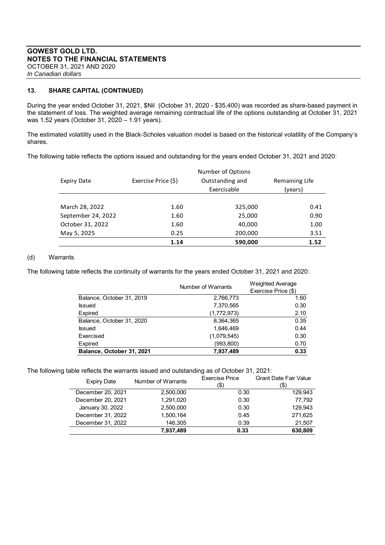**13. SHARE CAPITAL (CONTINUED)** 

During the year ended October 31, 2021, \$Nil (October 31, 2020 - \$35,400) was recorded as share-based payment in the statement of loss. The weighted average remaining contractual life of the options outstanding at October 31, 2021 was 1.52 years (October 31, 2020 – 1.91 years).

The estimated volatility used in the Black-Scholes valuation model is based on the historical volatility of the Company's shares.

The following table reflects the options issued and outstanding for the years ended October 31, 2021 and 2020:

| Expiry Date        | Number of Options<br>Exercise Price (\$)<br>Outstanding and |             | Remaining Life |  |
|--------------------|-------------------------------------------------------------|-------------|----------------|--|
|                    |                                                             | Exercisable | (years)        |  |
| March 28, 2022     | 1.60                                                        | 325,000     | 0.41           |  |
| September 24, 2022 | 1.60                                                        | 25,000      | 0.90           |  |
| October 31, 2022   | 1.60                                                        | 40,000      | 1.00           |  |
| May 5, 2025        | 0.25                                                        | 200,000     | 3.51           |  |
|                    | 1.14                                                        | 590,000     | 1.52           |  |

# (d) Warrants

The following table reflects the continuity of warrants for the years ended October 31, 2021 and 2020:

|                           | Number of Warrants | <b>Weighted Average</b> |
|---------------------------|--------------------|-------------------------|
|                           |                    | Exercise Price (\$)     |
| Balance, October 31, 2019 | 2,766,773          | 1.60                    |
| Issued                    | 7,370,565          | 0.30                    |
| <b>Expired</b>            | (1,772,973)        | 2.10                    |
| Balance, October 31, 2020 | 8,364,365          | 0.35                    |
| <b>Issued</b>             | 1,646,469          | 0.44                    |
| Exercised                 | (1,079,545)        | 0.30                    |
| <b>Expired</b>            | (993, 800)         | 0.70                    |
| Balance, October 31, 2021 | 7,937,489          | 0.33                    |
|                           |                    |                         |

The following table reflects the warrants issued and outstanding as of October 31, 2021:

| <b>Expiry Date</b> | Number of Warrants | <b>Exercise Price</b><br>(\$) | <b>Grant Date Fair Value</b><br>'\$) |
|--------------------|--------------------|-------------------------------|--------------------------------------|
| December 20, 2021  | 2,500,000          | 0.30                          | 129,943                              |
| December 20, 2021  | 1,291,020          | 0.30                          | 77.792                               |
| January 30, 2022   | 2,500,000          | 0.30                          | 129.943                              |
| December 31, 2022  | 1,500,164          | 0.45                          | 271,625                              |
| December 31, 2022  | 146,305            | 0.39                          | 21,507                               |
|                    | 7,937,489          | 0.33                          | 630,809                              |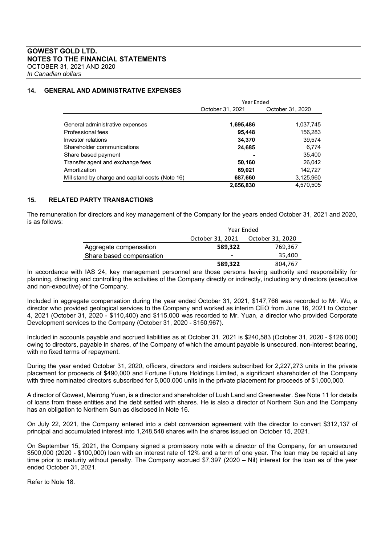#### **14. GENERAL AND ADMINISTRATIVE EXPENSES**

|                                                  | Year Ended       |                  |
|--------------------------------------------------|------------------|------------------|
|                                                  | October 31, 2021 | October 31, 2020 |
|                                                  |                  |                  |
| General administrative expenses                  | 1,695,486        | 1,037,745        |
| Professional fees                                | 95.448           | 156,283          |
| Investor relations                               | 34,370           | 39,574           |
| Shareholder communications                       | 24,685           | 6,774            |
| Share based payment                              |                  | 35,400           |
| Transfer agent and exchange fees                 | 50,160           | 26,042           |
| Amortization                                     | 69,021           | 142,727          |
| Mill stand by charge and capital costs (Note 16) | 687,660          | 3,125,960        |
|                                                  | 2,656,830        | 4.570.505        |

#### **15. RELATED PARTY TRANSACTIONS**

The remuneration for directors and key management of the Company for the years ended October 31, 2021 and 2020, is as follows:

|                          | Year Ended                           |         |
|--------------------------|--------------------------------------|---------|
|                          | October 31, 2021<br>October 31, 2020 |         |
| Aggregate compensation   | 589.322                              | 769,367 |
| Share based compensation | $\overline{\phantom{a}}$             | 35,400  |
|                          | 589.322                              | 804,767 |

In accordance with IAS 24, key management personnel are those persons having authority and responsibility for planning, directing and controlling the activities of the Company directly or indirectly, including any directors (executive and non-executive) of the Company.

Included in aggregate compensation during the year ended October 31, 2021, \$147,766 was recorded to Mr. Wu, a director who provided geological services to the Company and worked as interim CEO from June 16, 2021 to October 4, 2021 (October 31, 2020 - \$110,400) and \$115,000 was recorded to Mr. Yuan, a director who provided Corporate Development services to the Company (October 31, 2020 - \$150,967).

Included in accounts payable and accrued liabilities as at October 31, 2021 is \$240,583 (October 31, 2020 - \$126,000) owing to directors, payable in shares, of the Company of which the amount payable is unsecured, non-interest bearing, with no fixed terms of repayment.

During the year ended October 31, 2020, officers, directors and insiders subscribed for 2,227,273 units in the private placement for proceeds of \$490,000 and Fortune Future Holdings Limited, a significant shareholder of the Company with three nominated directors subscribed for 5,000,000 units in the private placement for proceeds of \$1,000,000.

A director of Gowest, Meirong Yuan, is a director and shareholder of Lush Land and Greenwater. See Note 11 for details of loans from these entities and the debt settled with shares. He is also a director of Northern Sun and the Company has an obligation to Northern Sun as disclosed in Note 16.

On July 22, 2021, the Company entered into a debt conversion agreement with the director to convert \$312,137 of principal and accumulated interest into 1,248,548 shares with the shares issued on October 15, 2021.

On September 15, 2021, the Company signed a promissory note with a director of the Company, for an unsecured \$500,000 (2020 - \$100,000) loan with an interest rate of 12% and a term of one year. The loan may be repaid at any time prior to maturity without penalty. The Company accrued \$7,397 (2020 – Nil) interest for the loan as of the year ended October 31, 2021.

Refer to Note 18.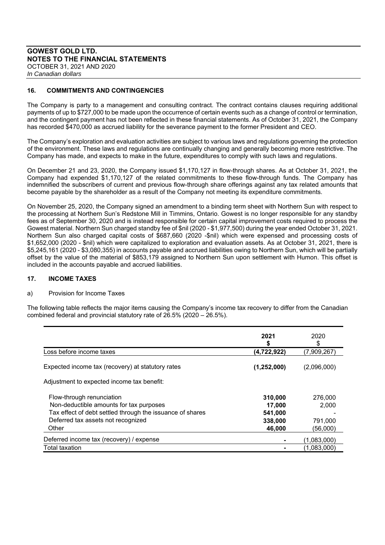# **16. COMMITMENTS AND CONTINGENCIES**

The Company is party to a management and consulting contract. The contract contains clauses requiring additional payments of up to \$727,000 to be made upon the occurrence of certain events such as a change of control or termination, and the contingent payment has not been reflected in these financial statements. As of October 31, 2021, the Company has recorded \$470,000 as accrued liability for the severance payment to the former President and CEO.

The Company's exploration and evaluation activities are subject to various laws and regulations governing the protection of the environment. These laws and regulations are continually changing and generally becoming more restrictive. The Company has made, and expects to make in the future, expenditures to comply with such laws and regulations.

On December 21 and 23, 2020, the Company issued \$1,170,127 in flow-through shares. As at October 31, 2021, the Company had expended \$1,170,127 of the related commitments to these flow-through funds. The Company has indemnified the subscribers of current and previous flow-through share offerings against any tax related amounts that become payable by the shareholder as a result of the Company not meeting its expenditure commitments.

On November 25, 2020, the Company signed an amendment to a binding term sheet with Northern Sun with respect to the processing at Northern Sun's Redstone Mill in Timmins, Ontario. Gowest is no longer responsible for any standby fees as of September 30, 2020 and is instead responsible for certain capital improvement costs required to process the Gowest material. Northern Sun charged standby fee of \$nil (2020 - \$1,977,500) during the year ended October 31, 2021. Northern Sun also charged capital costs of \$687,660 (2020 -\$nil) which were expensed and processing costs of \$1,652,000 (2020 - \$nil) which were capitalized to exploration and evaluation assets. As at October 31, 2021, there is \$5,245,161 (2020 - \$3,080,355) in accounts payable and accrued liabilities owing to Northern Sun, which will be partially offset by the value of the material of \$853,179 assigned to Northern Sun upon settlement with Humon. This offset is included in the accounts payable and accrued liabilities.

#### **17. INCOME TAXES**

# a) Provision for Income Taxes

The following table reflects the major items causing the Company's income tax recovery to differ from the Canadian combined federal and provincial statutory rate of 26.5% (2020 – 26.5%).

|                                                           | 2021<br>S     | 2020<br>S   |
|-----------------------------------------------------------|---------------|-------------|
| Loss before income taxes                                  | (4,722,922)   | (7,909,267) |
| Expected income tax (recovery) at statutory rates         | (1, 252, 000) | (2,096,000) |
| Adjustment to expected income tax benefit:                |               |             |
| Flow-through renunciation                                 | 310,000       | 276,000     |
| Non-deductible amounts for tax purposes                   | 17,000        | 2,000       |
| Tax effect of debt settled through the issuance of shares | 541,000       |             |
| Deferred tax assets not recognized                        | 338,000       | 791,000     |
| Other                                                     | 46,000        | (56,000)    |
| Deferred income tax (recovery) / expense                  |               | (1,083,000) |
| <b>Total taxation</b>                                     |               | (1,083,000) |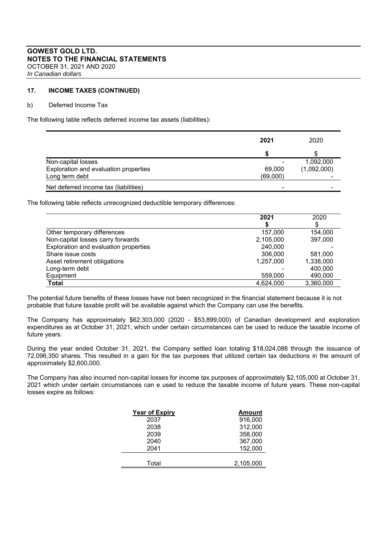#### **17. INCOME TAXES (CONTINUED)**

#### b) Deferred Income Tax

The following table reflects deferred income tax assets (liabilities):

|                                       | 2021                     | 2020        |
|---------------------------------------|--------------------------|-------------|
|                                       |                          |             |
| Non-capital losses                    | ۰                        | 1,092,000   |
| Exploration and evaluation properties | 69,000                   | (1,092,000) |
| Long term debt                        | (69,000)                 |             |
| Net deferred income tax (liabilities) | $\overline{\phantom{0}}$ |             |

The following table reflects unrecognized deductible temporary differences:

|                                       | 2021      | 2020      |
|---------------------------------------|-----------|-----------|
|                                       |           |           |
| Other temporary differences           | 157,000   | 154,000   |
| Non-capital losses carry forwards     | 2,105,000 | 397,000   |
| Exploration and evaluation properties | 240,000   |           |
| Share issue costs                     | 306,000   | 581,000   |
| Asset retirement obligations          | 1,257,000 | 1,338,000 |
| Long-term debt                        |           | 400,000   |
| Equipment                             | 559,000   | 490,000   |
| Total                                 | 4,624,000 | 3,360,000 |

The potential future benefits of these losses have not been recognized in the financial statement because it is not probable that future taxable profit will be available against which the Company can use the benefits.

The Company has approximately \$62,303,000 (2020 - \$53,899,000) of Canadian development and exploration expenditures as at October 31, 2021, which under certain circumstances can be used to reduce the taxable income of future years.

During the year ended October 31, 2021, the Company settled loan totaling \$18,024,088 through the issuance of 72,096,350 shares. This resulted in a gain for the tax purposes that utilized certain tax deductions in the amount of approximately \$2,600,000.

The Company has also incurred non-capital losses for income tax purposes of approximately \$2,105,000 at October 31, 2021 which under certain circumstances can e used to reduce the taxable income of future years. These non-capital losses expire as follows:

| <b>Year of Expiry</b> | <b>Amount</b> |
|-----------------------|---------------|
| 2037                  | 916,000       |
| 2038                  | 312,000       |
| 2039                  | 358,000       |
| 2040                  | 367,000       |
| 2041                  | 152,000       |
|                       |               |
| Total                 | 2,105,000     |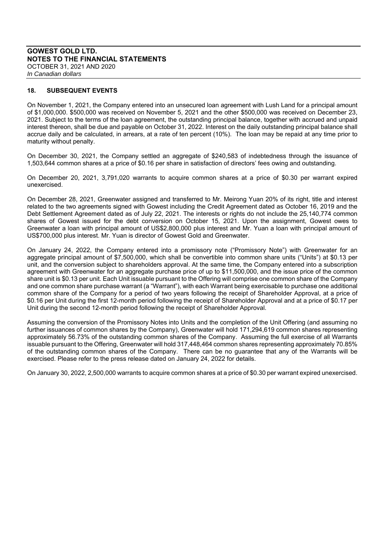#### **18. SUBSEQUENT EVENTS**

On November 1, 2021, the Company entered into an unsecured loan agreement with Lush Land for a principal amount of \$1,000,000. \$500,000 was received on November 5, 2021 and the other \$500,000 was received on December 23, 2021. Subject to the terms of the loan agreement, the outstanding principal balance, together with accrued and unpaid interest thereon, shall be due and payable on October 31, 2022. Interest on the daily outstanding principal balance shall accrue daily and be calculated, in arrears, at a rate of ten percent (10%). The loan may be repaid at any time prior to maturity without penalty.

On December 30, 2021, the Company settled an aggregate of \$240,583 of indebtedness through the issuance of 1,503,644 common shares at a price of \$0.16 per share in satisfaction of directors' fees owing and outstanding.

On December 20, 2021, 3,791,020 warrants to acquire common shares at a price of \$0.30 per warrant expired unexercised.

On December 28, 2021, Greenwater assigned and transferred to Mr. Meirong Yuan 20% of its right, title and interest related to the two agreements signed with Gowest including the Credit Agreement dated as October 16, 2019 and the Debt Settlement Agreement dated as of July 22, 2021. The interests or rights do not include the 25,140,774 common shares of Gowest issued for the debt conversion on October 15, 2021. Upon the assignment, Gowest owes to Greenwater a loan with principal amount of US\$2,800,000 plus interest and Mr. Yuan a loan with principal amount of US\$700,000 plus interest. Mr. Yuan is director of Gowest Gold and Greenwater.

On January 24, 2022, the Company entered into a promissory note ("Promissory Note") with Greenwater for an aggregate principal amount of \$7,500,000, which shall be convertible into common share units ("Units") at \$0.13 per unit, and the conversion subject to shareholders approval. At the same time, the Company entered into a subscription agreement with Greenwater for an aggregate purchase price of up to \$11,500,000, and the issue price of the common share unit is \$0.13 per unit. Each Unit issuable pursuant to the Offering will comprise one common share of the Company and one common share purchase warrant (a "Warrant"), with each Warrant being exercisable to purchase one additional common share of the Company for a period of two years following the receipt of Shareholder Approval, at a price of \$0.16 per Unit during the first 12-month period following the receipt of Shareholder Approval and at a price of \$0.17 per Unit during the second 12-month period following the receipt of Shareholder Approval.

Assuming the conversion of the Promissory Notes into Units and the completion of the Unit Offering (and assuming no further issuances of common shares by the Company), Greenwater will hold 171,294,619 common shares representing approximately 56.73% of the outstanding common shares of the Company. Assuming the full exercise of all Warrants issuable pursuant to the Offering, Greenwater will hold 317,448,464 common shares representing approximately 70.85% of the outstanding common shares of the Company. There can be no guarantee that any of the Warrants will be exercised. Please refer to the press release dated on January 24, 2022 for details.

On January 30, 2022, 2,500,000 warrants to acquire common shares at a price of \$0.30 per warrant expired unexercised.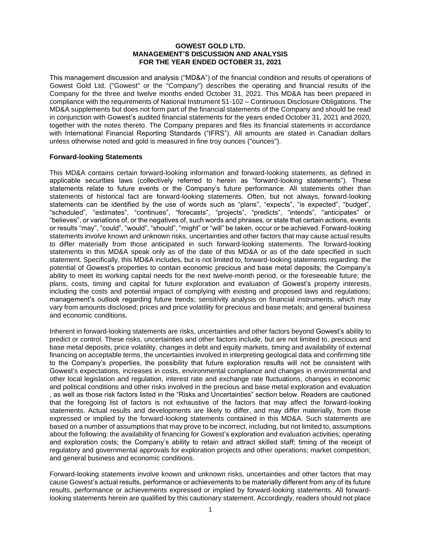#### **GOWEST GOLD LTD. MANAGEMENT'S DISCUSSION AND ANALYSIS FOR THE YEAR ENDED OCTOBER 31, 2021**

This management discussion and analysis ("MD&A") of the financial condition and results of operations of Gowest Gold Ltd. ("Gowest" or the "Company") describes the operating and financial results of the Company for the three and twelve months ended October 31, 2021. This MD&A has been prepared in compliance with the requirements of National Instrument 51-102 – Continuous Disclosure Obligations. The MD&A supplements but does not form part of the financial statements of the Company and should be read in conjunction with Gowest's audited financial statements for the years ended October 31, 2021 and 2020, together with the notes thereto. The Company prepares and files its financial statements in accordance with International Financial Reporting Standards ("IFRS"). All amounts are stated in Canadian dollars unless otherwise noted and gold is measured in fine troy ounces ("ounces").

# **Forward-looking Statements**

This MD&A contains certain forward-looking information and forward-looking statements, as defined in applicable securities laws (collectively referred to herein as "forward-looking statements"). These statements relate to future events or the Company's future performance. All statements other than statements of historical fact are forward-looking statements. Often, but not always, forward-looking statements can be identified by the use of words such as "plans", "expects", "is expected", "budget", "scheduled", "estimates", "continues", "forecasts", "projects", "predicts", "intends", "anticipates" or "believes", or variations of, or the negatives of, such words and phrases, or state that certain actions, events or results "may", "could", "would", "should", "might" or "will" be taken, occur or be achieved. Forward-looking statements involve known and unknown risks, uncertainties and other factors that may cause actual results to differ materially from those anticipated in such forward-looking statements. The forward-looking statements in this MD&A speak only as of the date of this MD&A or as of the date specified in such statement. Specifically, this MD&A includes, but is not limited to, forward-looking statements regarding: the potential of Gowest's properties to contain economic precious and base metal deposits; the Company's ability to meet its working capital needs for the next twelve-month period, or the foreseeable future; the plans, costs, timing and capital for future exploration and evaluation of Gowest's property interests, including the costs and potential impact of complying with existing and proposed laws and regulations; management's outlook regarding future trends; sensitivity analysis on financial instruments, which may vary from amounts disclosed; prices and price volatility for precious and base metals; and general business and economic conditions.

Inherent in forward-looking statements are risks, uncertainties and other factors beyond Gowest's ability to predict or control. These risks, uncertainties and other factors include, but are not limited to, precious and base metal deposits, price volatility, changes in debt and equity markets, timing and availability of external financing on acceptable terms, the uncertainties involved in interpreting geological data and confirming title to the Company's properties, the possibility that future exploration results will not be consistent with Gowest's expectations, increases in costs, environmental compliance and changes in environmental and other local legislation and regulation, interest rate and exchange rate fluctuations, changes in economic and political conditions and other risks involved in the precious and base metal exploration and evaluation , as well as those risk factors listed in the "Risks and Uncertainties" section below. Readers are cautioned that the foregoing list of factors is not exhaustive of the factors that may affect the forward-looking statements. Actual results and developments are likely to differ, and may differ materially, from those expressed or implied by the forward-looking statements contained in this MD&A. Such statements are based on a number of assumptions that may prove to be incorrect, including, but not limited to, assumptions about the following: the availability of financing for Gowest's exploration and evaluation activities; operating and exploration costs; the Company's ability to retain and attract skilled staff; timing of the receipt of regulatory and governmental approvals for exploration projects and other operations; market competition; and general business and economic conditions.

Forward-looking statements involve known and unknown risks, uncertainties and other factors that may cause Gowest's actual results, performance or achievements to be materially different from any of its future results, performance or achievements expressed or implied by forward-looking statements. All forwardlooking statements herein are qualified by this cautionary statement. Accordingly, readers should not place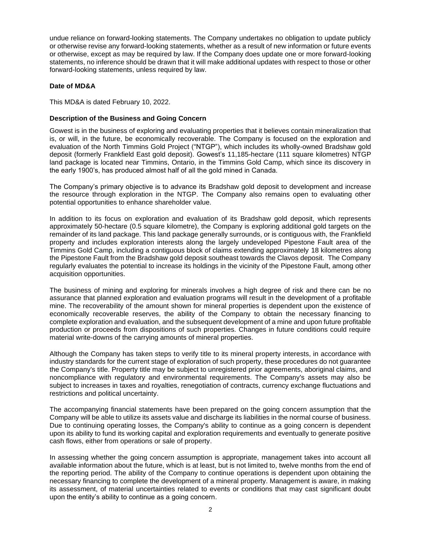undue reliance on forward-looking statements. The Company undertakes no obligation to update publicly or otherwise revise any forward-looking statements, whether as a result of new information or future events or otherwise, except as may be required by law. If the Company does update one or more forward-looking statements, no inference should be drawn that it will make additional updates with respect to those or other forward-looking statements, unless required by law.

### **Date of MD&A**

This MD&A is dated February 10, 2022.

# **Description of the Business and Going Concern**

Gowest is in the business of exploring and evaluating properties that it believes contain mineralization that is, or will, in the future, be economically recoverable. The Company is focused on the exploration and evaluation of the North Timmins Gold Project ("NTGP"), which includes its wholly-owned Bradshaw gold deposit (formerly Frankfield East gold deposit). Gowest's 11,185-hectare (111 square kilometres) NTGP land package is located near Timmins, Ontario, in the Timmins Gold Camp, which since its discovery in the early 1900's, has produced almost half of all the gold mined in Canada.

The Company's primary objective is to advance its Bradshaw gold deposit to development and increase the resource through exploration in the NTGP. The Company also remains open to evaluating other potential opportunities to enhance shareholder value.

In addition to its focus on exploration and evaluation of its Bradshaw gold deposit, which represents approximately 50-hectare (0.5 square kilometre), the Company is exploring additional gold targets on the remainder of its land package. This land package generally surrounds, or is contiguous with, the Frankfield property and includes exploration interests along the largely undeveloped Pipestone Fault area of the Timmins Gold Camp, including a contiguous block of claims extending approximately 18 kilometres along the Pipestone Fault from the Bradshaw gold deposit southeast towards the Clavos deposit. The Company regularly evaluates the potential to increase its holdings in the vicinity of the Pipestone Fault, among other acquisition opportunities.

The business of mining and exploring for minerals involves a high degree of risk and there can be no assurance that planned exploration and evaluation programs will result in the development of a profitable mine. The recoverability of the amount shown for mineral properties is dependent upon the existence of economically recoverable reserves, the ability of the Company to obtain the necessary financing to complete exploration and evaluation, and the subsequent development of a mine and upon future profitable production or proceeds from dispositions of such properties. Changes in future conditions could require material write-downs of the carrying amounts of mineral properties.

Although the Company has taken steps to verify title to its mineral property interests, in accordance with industry standards for the current stage of exploration of such property, these procedures do not guarantee the Company's title. Property title may be subject to unregistered prior agreements, aboriginal claims, and noncompliance with regulatory and environmental requirements. The Company's assets may also be subject to increases in taxes and royalties, renegotiation of contracts, currency exchange fluctuations and restrictions and political uncertainty.

The accompanying financial statements have been prepared on the going concern assumption that the Company will be able to utilize its assets value and discharge its liabilities in the normal course of business. Due to continuing operating losses, the Company's ability to continue as a going concern is dependent upon its ability to fund its working capital and exploration requirements and eventually to generate positive cash flows, either from operations or sale of property.

In assessing whether the going concern assumption is appropriate, management takes into account all available information about the future, which is at least, but is not limited to, twelve months from the end of the reporting period. The ability of the Company to continue operations is dependent upon obtaining the necessary financing to complete the development of a mineral property. Management is aware, in making its assessment, of material uncertainties related to events or conditions that may cast significant doubt upon the entity's ability to continue as a going concern.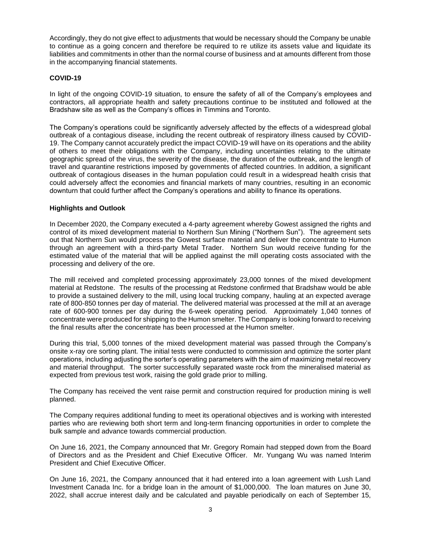Accordingly, they do not give effect to adjustments that would be necessary should the Company be unable to continue as a going concern and therefore be required to re utilize its assets value and liquidate its liabilities and commitments in other than the normal course of business and at amounts different from those in the accompanying financial statements.

# **COVID-19**

In light of the ongoing COVID-19 situation, to ensure the safety of all of the Company's employees and contractors, all appropriate health and safety precautions continue to be instituted and followed at the Bradshaw site as well as the Company's offices in Timmins and Toronto.

The Company's operations could be significantly adversely affected by the effects of a widespread global outbreak of a contagious disease, including the recent outbreak of respiratory illness caused by COVID-19. The Company cannot accurately predict the impact COVID-19 will have on its operations and the ability of others to meet their obligations with the Company, including uncertainties relating to the ultimate geographic spread of the virus, the severity of the disease, the duration of the outbreak, and the length of travel and quarantine restrictions imposed by governments of affected countries. In addition, a significant outbreak of contagious diseases in the human population could result in a widespread health crisis that could adversely affect the economies and financial markets of many countries, resulting in an economic downturn that could further affect the Company's operations and ability to finance its operations.

# **Highlights and Outlook**

In December 2020, the Company executed a 4-party agreement whereby Gowest assigned the rights and control of its mixed development material to Northern Sun Mining ("Northern Sun"). The agreement sets out that Northern Sun would process the Gowest surface material and deliver the concentrate to Humon through an agreement with a third-party Metal Trader. Northern Sun would receive funding for the estimated value of the material that will be applied against the mill operating costs associated with the processing and delivery of the ore.

The mill received and completed processing approximately 23,000 tonnes of the mixed development material at Redstone. The results of the processing at Redstone confirmed that Bradshaw would be able to provide a sustained delivery to the mill, using local trucking company, hauling at an expected average rate of 800-850 tonnes per day of material. The delivered material was processed at the mill at an average rate of 600-900 tonnes per day during the 6-week operating period. Approximately 1,040 tonnes of concentrate were produced for shipping to the Humon smelter. The Company is looking forward to receiving the final results after the concentrate has been processed at the Humon smelter.

During this trial, 5,000 tonnes of the mixed development material was passed through the Company's onsite x-ray ore sorting plant. The initial tests were conducted to commission and optimize the sorter plant operations, including adjusting the sorter's operating parameters with the aim of maximizing metal recovery and material throughput. The sorter successfully separated waste rock from the mineralised material as expected from previous test work, raising the gold grade prior to milling.

The Company has received the vent raise permit and construction required for production mining is well planned.

The Company requires additional funding to meet its operational objectives and is working with interested parties who are reviewing both short term and long-term financing opportunities in order to complete the bulk sample and advance towards commercial production.

On June 16, 2021, the Company announced that Mr. Gregory Romain had stepped down from the Board of Directors and as the President and Chief Executive Officer. Mr. Yungang Wu was named Interim President and Chief Executive Officer.

On June 16, 2021, the Company announced that it had entered into a loan agreement with Lush Land Investment Canada Inc. for a bridge loan in the amount of \$1,000,000. The loan matures on June 30, 2022, shall accrue interest daily and be calculated and payable periodically on each of September 15,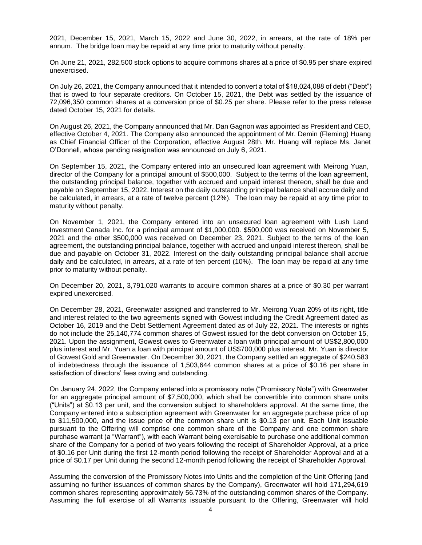2021, December 15, 2021, March 15, 2022 and June 30, 2022, in arrears, at the rate of 18% per annum. The bridge loan may be repaid at any time prior to maturity without penalty.

On June 21, 2021, 282,500 stock options to acquire commons shares at a price of \$0.95 per share expired unexercised.

On July 26, 2021, the Company announced that it intended to convert a total of \$18,024,088 of debt ("Debt") that is owed to four separate creditors. On October 15, 2021, the Debt was settled by the issuance of 72,096,350 common shares at a conversion price of \$0.25 per share. Please refer to the press release dated October 15, 2021 for details.

On August 26, 2021, the Company announced that Mr. Dan Gagnon was appointed as President and CEO, effective October 4, 2021. The Company also announced the appointment of Mr. Demin (Fleming) Huang as Chief Financial Officer of the Corporation, effective August 28th. Mr. Huang will replace Ms. Janet O'Donnell, whose pending resignation was announced on July 6, 2021.

On September 15, 2021, the Company entered into an unsecured loan agreement with Meirong Yuan, director of the Company for a principal amount of \$500,000. Subject to the terms of the loan agreement, the outstanding principal balance, together with accrued and unpaid interest thereon, shall be due and payable on September 15, 2022. Interest on the daily outstanding principal balance shall accrue daily and be calculated, in arrears, at a rate of twelve percent (12%). The loan may be repaid at any time prior to maturity without penalty.

On November 1, 2021, the Company entered into an unsecured loan agreement with Lush Land Investment Canada Inc. for a principal amount of \$1,000,000. \$500,000 was received on November 5, 2021 and the other \$500,000 was received on December 23, 2021. Subject to the terms of the loan agreement, the outstanding principal balance, together with accrued and unpaid interest thereon, shall be due and payable on October 31, 2022. Interest on the daily outstanding principal balance shall accrue daily and be calculated, in arrears, at a rate of ten percent (10%). The loan may be repaid at any time prior to maturity without penalty.

On December 20, 2021, 3,791,020 warrants to acquire common shares at a price of \$0.30 per warrant expired unexercised.

On December 28, 2021, Greenwater assigned and transferred to Mr. Meirong Yuan 20% of its right, title and interest related to the two agreements signed with Gowest including the Credit Agreement dated as October 16, 2019 and the Debt Settlement Agreement dated as of July 22, 2021. The interests or rights do not include the 25,140,774 common shares of Gowest issued for the debt conversion on October 15, 2021. Upon the assignment, Gowest owes to Greenwater a loan with principal amount of US\$2,800,000 plus interest and Mr. Yuan a loan with principal amount of US\$700,000 plus interest. Mr. Yuan is director of Gowest Gold and Greenwater. On December 30, 2021, the Company settled an aggregate of \$240,583 of indebtedness through the issuance of 1,503,644 common shares at a price of \$0.16 per share in satisfaction of directors' fees owing and outstanding.

On January 24, 2022, the Company entered into a promissory note ("Promissory Note") with Greenwater for an aggregate principal amount of \$7,500,000, which shall be convertible into common share units ("Units") at \$0.13 per unit, and the conversion subject to shareholders approval. At the same time, the Company entered into a subscription agreement with Greenwater for an aggregate purchase price of up to \$11,500,000, and the issue price of the common share unit is \$0.13 per unit. Each Unit issuable pursuant to the Offering will comprise one common share of the Company and one common share purchase warrant (a "Warrant"), with each Warrant being exercisable to purchase one additional common share of the Company for a period of two years following the receipt of Shareholder Approval, at a price of \$0.16 per Unit during the first 12-month period following the receipt of Shareholder Approval and at a price of \$0.17 per Unit during the second 12-month period following the receipt of Shareholder Approval.

Assuming the conversion of the Promissory Notes into Units and the completion of the Unit Offering (and assuming no further issuances of common shares by the Company), Greenwater will hold 171,294,619 common shares representing approximately 56.73% of the outstanding common shares of the Company. Assuming the full exercise of all Warrants issuable pursuant to the Offering, Greenwater will hold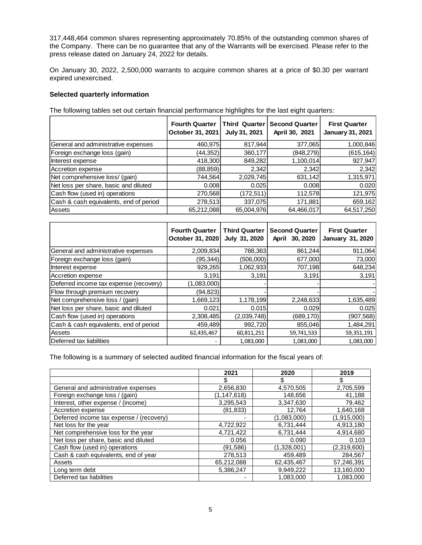317,448,464 common shares representing approximately 70.85% of the outstanding common shares of the Company. There can be no guarantee that any of the Warrants will be exercised. Please refer to the press release dated on January 24, 2022 for details.

On January 30, 2022, 2,500,000 warrants to acquire common shares at a price of \$0.30 per warrant expired unexercised.

#### **Selected quarterly information**

The following tables set out certain financial performance highlights for the last eight quarters:

|                                        | <b>Fourth Quarter</b><br>October 31, 2021 | <b>Third Quarter</b><br>July 31, 2021 | <b>Second Quarter</b><br>April 30, 2021 | <b>First Quarter</b><br><b>January 31, 2021</b> |
|----------------------------------------|-------------------------------------------|---------------------------------------|-----------------------------------------|-------------------------------------------------|
| General and administrative expenses    | 460,975                                   | 817,944                               | 377,065                                 | 1,000,846                                       |
| Foreign exchange loss (gain)           | (44,352)                                  | 360,177                               | (848,279)                               | (615,164)                                       |
| Interest expense                       | 418,300                                   | 849,282                               | 1,100,014                               | 927,947                                         |
| Accretion expense                      | (88, 859)                                 | 2,342                                 | 2,342                                   | 2,342                                           |
| Net comprehensive loss/ (gain)         | 744,564                                   | 2,029,745                             | 631,142                                 | 1,315,971                                       |
| Net loss per share, basic and diluted  | 0.008                                     | 0.025                                 | 0.008                                   | 0.020                                           |
| Cash flow (used in) operations         | 270,568                                   | (172,511)                             | 112,578                                 | 121,975                                         |
| Cash & cash equivalents, end of period | 278,513                                   | 337,075                               | 171,881                                 | 659,162                                         |
| <b>Assets</b>                          | 65,212,088                                | 65,004,976                            | 64,466,017                              | 64,517,250                                      |

|                                        | <b>Fourth Quarter</b><br>October 31, 2020 | <b>Third Quarter</b><br>July 31, 2020 | <b>Second Quarter</b><br>April 30, 2020 | <b>First Quarter</b><br><b>January 31, 2020</b> |
|----------------------------------------|-------------------------------------------|---------------------------------------|-----------------------------------------|-------------------------------------------------|
| General and administrative expenses    | 2,009,834                                 | 788,363                               | 861,244                                 | 911,064                                         |
| Foreign exchange loss (gain)           | (95, 344)                                 | (506,000)                             | 677,000                                 | 73,000                                          |
| Interest expense                       | 929,265                                   | 1,062,933                             | 707,198                                 | 648,234                                         |
| Accretion expense                      | 3,191                                     | 3,191                                 | 3,191                                   | 3,191                                           |
| Deferred income tax expense (recovery) | (1,083,000)                               |                                       |                                         |                                                 |
| Flow through premium recovery          | (94, 823)                                 |                                       |                                         |                                                 |
| Net comprehensive loss / (gain)        | 1,669,123                                 | 1,178,199                             | 2,248,633                               | 1,635,489                                       |
| Net loss per share, basic and diluted  | 0.021                                     | 0.015                                 | 0.029                                   | 0.025                                           |
| Cash flow (used in) operations         | 2,308,485                                 | (2,039,748)                           | (689, 170)                              | (907,568)                                       |
| Cash & cash equivalents, end of period | 459,489                                   | 992,720                               | 855,046                                 | 1,484,291                                       |
| Assets                                 | 62,435,467                                | 60,811,251                            | 59,741,533                              | 59,351,191                                      |
| Deferred tax liabilities               |                                           | 1,083,000                             | 1,083,000                               | 1,083,000                                       |

The following is a summary of selected audited financial information for the fiscal years of:

|                                          | 2021          | 2020        | 2019        |
|------------------------------------------|---------------|-------------|-------------|
|                                          |               | S           | \$          |
| General and administrative expenses      | 2,656,830     | 4,570,505   | 2,705,599   |
| Foreign exchange loss / (gain)           | (1, 147, 618) | 148,656     | 41,188      |
| Interest, other expense / (income)       | 3,295,543     | 3,347,630   | 79,462      |
| Accretion expense                        | (81,833)      | 12.764      | 1.640.168   |
| Deferred income tax expense / (recovery) |               | (1,083,000) | (1,915,000) |
| Net loss for the year                    | 4,722,922     | 6,731,444   | 4,913,180   |
| Net comprehensive loss for the year      | 4,721,422     | 6.731.444   | 4,914,680   |
| Net loss per share, basic and diluted    | 0.056         | 0.090       | 0.103       |
| Cash flow (used in) operations           | (91,586)      | (1,328,001) | (2,319,600) |
| Cash & cash equivalents, end of year     | 278,513       | 459,489     | 284,567     |
| Assets                                   | 65,212,088    | 62,435,467  | 57,246,391  |
| Long term debt                           | 5,386,247     | 9,949,222   | 13,160,000  |
| Deferred tax liabilities                 |               | 1.083.000   | 1,083,000   |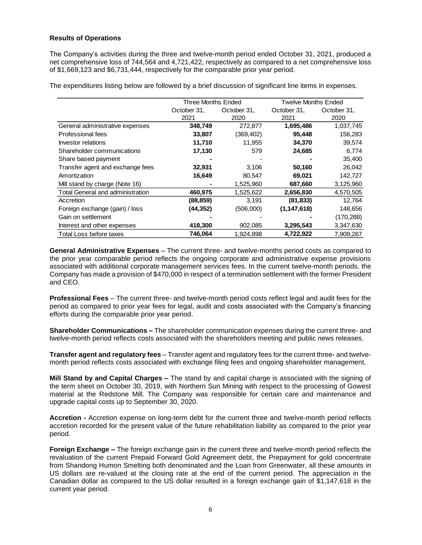### **Results of Operations**

The Company's activities during the three and twelve-month period ended October 31, 2021, produced a net comprehensive loss of 744,564 and 4,721,422, respectively as compared to a net comprehensive loss of \$1,669,123 and \$6,731,444, respectively for the comparable prior year period.

The expenditures listing below are followed by a brief discussion of significant line items in expenses.

|                                         | <b>Three Months Ended</b> |             | <b>Twelve Months Ended</b> |             |  |
|-----------------------------------------|---------------------------|-------------|----------------------------|-------------|--|
|                                         | October 31,               | October 31. | October 31.                | October 31, |  |
|                                         | 2021                      | 2020        | 2021                       | 2020        |  |
| General administrative expenses         | 348,749                   | 272,877     | 1,695,486                  | 1,037,745   |  |
| <b>Professional fees</b>                | 33,807                    | (369, 402)  | 95,448                     | 156,283     |  |
| Investor relations                      | 11,710                    | 11,955      | 34,370                     | 39,574      |  |
| Shareholder communications              | 17,130                    | 579         | 24,685                     | 6,774       |  |
| Share based payment                     |                           |             |                            | 35,400      |  |
| Transfer agent and exchange fees        | 32,931                    | 3,106       | 50,160                     | 26,042      |  |
| Amortization                            | 16,649                    | 80,547      | 69,021                     | 142,727     |  |
| Mill stand by charge (Note 16)          |                           | 1,525,960   | 687,660                    | 3,125,960   |  |
| <b>Total General and administration</b> | 460,975                   | 1,525,622   | 2,656,830                  | 4,570,505   |  |
| Accretion                               | (88, 859)                 | 3,191       | (81, 833)                  | 12,764      |  |
| Foreign exchange (gain) / loss          | (44, 352)                 | (506,000)   | (1, 147, 618)              | 148,656     |  |
| Gain on settlement                      |                           |             |                            | (170, 288)  |  |
| Interest and other expenses             | 418,300                   | 902,085     | 3,295,543                  | 3,347,630   |  |
| Total Loss before taxes                 | 746,064                   | 1,924,898   | 4,722,922                  | 7,909,267   |  |

**General Administrative Expenses** – The current three- and twelve-months period costs as compared to the prior year comparable period reflects the ongoing corporate and administrative expense provisions associated with additional corporate management services fees. In the current twelve-month periods, the Company has made a provision of \$470,000 in respect of a termination settlement with the former President and CEO.

**Professional Fees** – The current three- and twelve-month period costs reflect legal and audit fees for the period as compared to prior year fees for legal, audit and costs associated with the Company's financing efforts during the comparable prior year period.

**Shareholder Communications –** The shareholder communication expenses during the current three- and twelve-month period reflects costs associated with the shareholders meeting and public news releases.

**Transfer agent and regulatory fees** – Transfer agent and regulatory fees for the current three- and twelvemonth period reflects costs associated with exchange filing fees and ongoing shareholder management.

**Mill Stand by and Capital Charges –** The stand by and capital charge is associated with the signing of the term sheet on October 30, 2019, with Northern Sun Mining with respect to the processing of Gowest material at the Redstone Mill. The Company was responsible for certain care and maintenance and upgrade capital costs up to September 30, 2020.

**Accretion -** Accretion expense on long-term debt for the current three and twelve-month period reflects accretion recorded for the present value of the future rehabilitation liability as compared to the prior year period.

**Foreign Exchange –** The foreign exchange gain in the current three and twelve-month period reflects the revaluation of the current Prepaid Forward Gold Agreement debt, the Prepayment for gold concentrate from Shandong Humon Smelting both denominated and the Loan from Greenwater, all these amounts in US dollars are re-valued at the closing rate at the end of the current period. The appreciation in the Canadian dollar as compared to the US dollar resulted in a foreign exchange gain of \$1,147,618 in the current year period.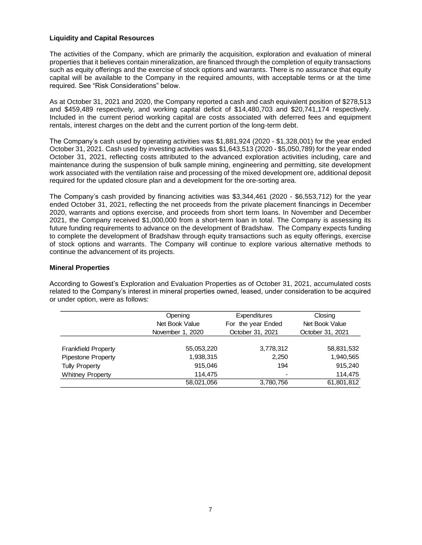#### **Liquidity and Capital Resources**

The activities of the Company, which are primarily the acquisition, exploration and evaluation of mineral properties that it believes contain mineralization, are financed through the completion of equity transactions such as equity offerings and the exercise of stock options and warrants. There is no assurance that equity capital will be available to the Company in the required amounts, with acceptable terms or at the time required. See "Risk Considerations" below.

As at October 31, 2021 and 2020, the Company reported a cash and cash equivalent position of \$278,513 and \$459,489 respectively, and working capital deficit of \$14,480,703 and \$20,741,174 respectively. Included in the current period working capital are costs associated with deferred fees and equipment rentals, interest charges on the debt and the current portion of the long-term debt.

The Company's cash used by operating activities was \$1,881,924 (2020 - \$1,328,001) for the year ended October 31, 2021. Cash used by investing activities was \$1,643,513 (2020 - \$5,050,789) for the year ended October 31, 2021, reflecting costs attributed to the advanced exploration activities including, care and maintenance during the suspension of bulk sample mining, engineering and permitting, site development work associated with the ventilation raise and processing of the mixed development ore, additional deposit required for the updated closure plan and a development for the ore-sorting area.

The Company's cash provided by financing activities was \$3,344,461 (2020 - \$6,553,712) for the year ended October 31, 2021, reflecting the net proceeds from the private placement financings in December 2020, warrants and options exercise, and proceeds from short term loans. In November and December 2021, the Company received \$1,000,000 from a short-term loan in total. The Company is assessing its future funding requirements to advance on the development of Bradshaw. The Company expects funding to complete the development of Bradshaw through equity transactions such as equity offerings, exercise of stock options and warrants. The Company will continue to explore various alternative methods to continue the advancement of its projects.

#### **Mineral Properties**

According to Gowest's Exploration and Evaluation Properties as of October 31, 2021, accumulated costs related to the Company's interest in mineral properties owned, leased, under consideration to be acquired or under option, were as follows:

|                            | Opening<br>Net Book Value<br>November 1, 2020 | Expenditures<br>For the year Ended<br>October 31, 2021 | Closing<br>Net Book Value<br>October 31, 2021 |  |
|----------------------------|-----------------------------------------------|--------------------------------------------------------|-----------------------------------------------|--|
| <b>Frankfield Property</b> | 55,053,220                                    | 3,778,312                                              | 58,831,532                                    |  |
| <b>Pipestone Property</b>  | 1,938,315                                     | 2,250                                                  | 1,940,565                                     |  |
| <b>Tully Property</b>      | 915,046                                       | 194                                                    | 915,240                                       |  |
| <b>Whitney Property</b>    | 114.475                                       |                                                        | 114,475                                       |  |
|                            | 58,021,056                                    | 3,780,756                                              | 61,801,812                                    |  |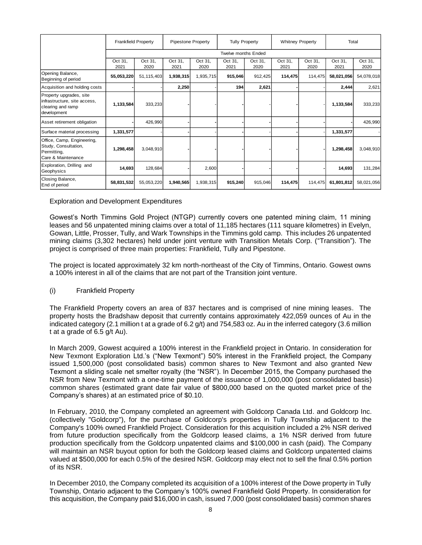|                                                                                             | <b>Frankfield Property</b> |                 |                 | Pipestone Property | <b>Tully Property</b>      |                 | <b>Whitney Property</b> |                 | Total           |                 |
|---------------------------------------------------------------------------------------------|----------------------------|-----------------|-----------------|--------------------|----------------------------|-----------------|-------------------------|-----------------|-----------------|-----------------|
|                                                                                             |                            |                 |                 |                    | <b>Twelve months Ended</b> |                 |                         |                 |                 |                 |
|                                                                                             | Oct 31,<br>2021            | Oct 31,<br>2020 | Oct 31,<br>2021 | Oct 31,<br>2020    | Oct 31,<br>2021            | Oct 31,<br>2020 | Oct 31,<br>2021         | Oct 31,<br>2020 | Oct 31,<br>2021 | Oct 31,<br>2020 |
| Opening Balance,<br>Beginning of period                                                     | 55,053,220                 | 51,115,403      | 1,938,315       | 1,935,715          | 915,046                    | 912,425         | 114,475                 | 114,475         | 58,021,056      | 54,078,018      |
| Acquisition and holding costs                                                               |                            |                 | 2,250           |                    | 194                        | 2,621           |                         |                 | 2,444           | 2,621           |
| Property upgrades, site<br>infrastructure, site access,<br>clearing and ramp<br>development | 1,133,584                  | 333,233         |                 |                    |                            |                 |                         |                 | 1,133,584       | 333,233         |
| Asset retirement obligation                                                                 |                            | 426,990         |                 |                    |                            |                 |                         |                 |                 | 426,990         |
| Surface material processing                                                                 | 1,331,577                  |                 |                 |                    |                            |                 |                         |                 | 1,331,577       |                 |
| Office, Camp, Engineering,<br>Study, Consultation,<br>Permitting,<br>Care & Maintenance     | 1,298,458                  | 3,048,910       |                 |                    |                            |                 |                         |                 | 1,298,458       | 3,048,910       |
| Exploration, Drilling and<br>Geophysics                                                     | 14,693                     | 128,684         |                 | 2,600              |                            |                 |                         |                 | 14,693          | 131,284         |
| Closing Balance,<br>End of period                                                           | 58,831,532                 | 55,053,220      | 1,940,565       | 1,938,315          | 915,240                    | 915,046         | 114,475                 | 114,475         | 61,801,812      | 58,021,056      |

#### Exploration and Development Expenditures

Gowest's North Timmins Gold Project (NTGP) currently covers one patented mining claim, 11 mining leases and 56 unpatented mining claims over a total of 11,185 hectares (111 square kilometres) in Evelyn, Gowan, Little, Prosser, Tully, and Wark Townships in the Timmins gold camp. This includes 26 unpatented mining claims (3,302 hectares) held under joint venture with Transition Metals Corp. ("Transition"). The project is comprised of three main properties: Frankfield, Tully and Pipestone.

The project is located approximately 32 km north-northeast of the City of Timmins, Ontario. Gowest owns a 100% interest in all of the claims that are not part of the Transition joint venture.

#### (i) Frankfield Property

The Frankfield Property covers an area of 837 hectares and is comprised of nine mining leases. The property hosts the Bradshaw deposit that currently contains approximately 422,059 ounces of Au in the indicated category (2.1 million t at a grade of 6.2 g/t) and 754,583 oz. Au in the inferred category (3.6 million t at a grade of 6.5 g/t Au).

In March 2009, Gowest acquired a 100% interest in the Frankfield project in Ontario. In consideration for New Texmont Exploration Ltd.'s ("New Texmont") 50% interest in the Frankfield project, the Company issued 1,500,000 (post consolidated basis) common shares to New Texmont and also granted New Texmont a sliding scale net smelter royalty (the "NSR"). In December 2015, the Company purchased the NSR from New Texmont with a one-time payment of the issuance of 1,000,000 (post consolidated basis) common shares (estimated grant date fair value of \$800,000 based on the quoted market price of the Company's shares) at an estimated price of \$0.10.

In February, 2010, the Company completed an agreement with Goldcorp Canada Ltd. and Goldcorp Inc. (collectively "Goldcorp"), for the purchase of Goldcorp's properties in Tully Township adjacent to the Company's 100% owned Frankfield Project. Consideration for this acquisition included a 2% NSR derived from future production specifically from the Goldcorp leased claims, a 1% NSR derived from future production specifically from the Goldcorp unpatented claims and \$100,000 in cash (paid). The Company will maintain an NSR buyout option for both the Goldcorp leased claims and Goldcorp unpatented claims valued at \$500,000 for each 0.5% of the desired NSR. Goldcorp may elect not to sell the final 0.5% portion of its NSR.

In December 2010, the Company completed its acquisition of a 100% interest of the Dowe property in Tully Township, Ontario adjacent to the Company's 100% owned Frankfield Gold Property. In consideration for this acquisition, the Company paid \$16,000 in cash, issued 7,000 (post consolidated basis) common shares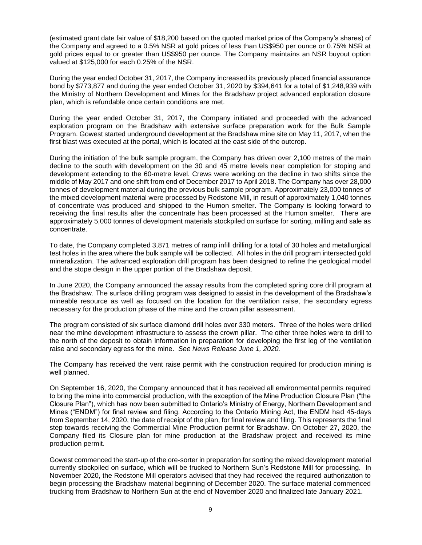(estimated grant date fair value of \$18,200 based on the quoted market price of the Company's shares) of the Company and agreed to a 0.5% NSR at gold prices of less than US\$950 per ounce or 0.75% NSR at gold prices equal to or greater than US\$950 per ounce. The Company maintains an NSR buyout option valued at \$125,000 for each 0.25% of the NSR.

During the year ended October 31, 2017, the Company increased its previously placed financial assurance bond by \$773,877 and during the year ended October 31, 2020 by \$394,641 for a total of \$1,248,939 with the Ministry of Northern Development and Mines for the Bradshaw project advanced exploration closure plan, which is refundable once certain conditions are met.

During the year ended October 31, 2017, the Company initiated and proceeded with the advanced exploration program on the Bradshaw with extensive surface preparation work for the Bulk Sample Program. Gowest started underground development at the Bradshaw mine site on May 11, 2017, when the first blast was executed at the portal, which is located at the east side of the outcrop.

During the initiation of the bulk sample program, the Company has driven over 2,100 metres of the main decline to the south with development on the 30 and 45 metre levels near completion for stoping and development extending to the 60-metre level. Crews were working on the decline in two shifts since the middle of May 2017 and one shift from end of December 2017 to April 2018. The Company has over 28,000 tonnes of development material during the previous bulk sample program. Approximately 23,000 tonnes of the mixed development material were processed by Redstone Mill, in result of approximately 1,040 tonnes of concentrate was produced and shipped to the Humon smelter. The Company is looking forward to receiving the final results after the concentrate has been processed at the Humon smelter. There are approximately 5,000 tonnes of development materials stockpiled on surface for sorting, milling and sale as concentrate.

To date, the Company completed 3,871 metres of ramp infill drilling for a total of 30 holes and metallurgical test holes in the area where the bulk sample will be collected. All holes in the drill program intersected gold mineralization. The advanced exploration drill program has been designed to refine the geological model and the stope design in the upper portion of the Bradshaw deposit.

In June 2020, the Company announced the assay results from the completed spring core drill program at the Bradshaw. The surface drilling program was designed to assist in the development of the Bradshaw's mineable resource as well as focused on the location for the ventilation raise, the secondary egress necessary for the production phase of the mine and the crown pillar assessment.

The program consisted of six surface diamond drill holes over 330 meters. Three of the holes were drilled near the mine development infrastructure to assess the crown pillar. The other three holes were to drill to the north of the deposit to obtain information in preparation for developing the first leg of the ventilation raise and secondary egress for the mine. *See News Release June 1, 2020.*

The Company has received the vent raise permit with the construction required for production mining is well planned.

On September 16, 2020, the Company announced that it has received all environmental permits required to bring the mine into commercial production, with the exception of the Mine Production Closure Plan ("the Closure Plan"), which has now been submitted to Ontario's Ministry of Energy, Northern Development and Mines ("ENDM") for final review and filing. According to the Ontario Mining Act, the ENDM had 45-days from September 14, 2020, the date of receipt of the plan, for final review and filing. This represents the final step towards receiving the Commercial Mine Production permit for Bradshaw. On October 27, 2020, the Company filed its Closure plan for mine production at the Bradshaw project and received its mine production permit.

Gowest commenced the start-up of the ore-sorter in preparation for sorting the mixed development material currently stockpiled on surface, which will be trucked to Northern Sun's Redstone Mill for processing. In November 2020, the Redstone Mill operators advised that they had received the required authorization to begin processing the Bradshaw material beginning of December 2020. The surface material commenced trucking from Bradshaw to Northern Sun at the end of November 2020 and finalized late January 2021.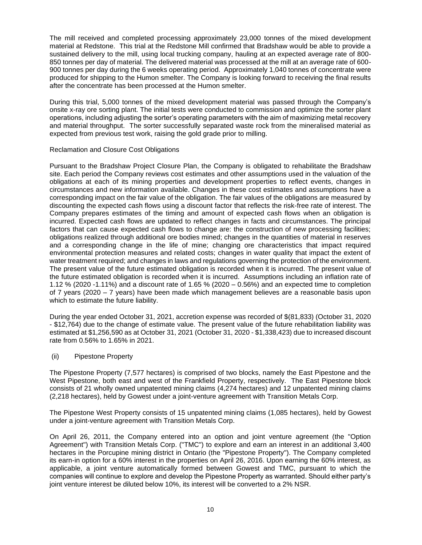The mill received and completed processing approximately 23,000 tonnes of the mixed development material at Redstone. This trial at the Redstone Mill confirmed that Bradshaw would be able to provide a sustained delivery to the mill, using local trucking company, hauling at an expected average rate of 800- 850 tonnes per day of material. The delivered material was processed at the mill at an average rate of 600- 900 tonnes per day during the 6 weeks operating period. Approximately 1,040 tonnes of concentrate were produced for shipping to the Humon smelter. The Company is looking forward to receiving the final results after the concentrate has been processed at the Humon smelter.

During this trial, 5,000 tonnes of the mixed development material was passed through the Company's onsite x-ray ore sorting plant. The initial tests were conducted to commission and optimize the sorter plant operations, including adjusting the sorter's operating parameters with the aim of maximizing metal recovery and material throughput. The sorter successfully separated waste rock from the mineralised material as expected from previous test work, raising the gold grade prior to milling.

#### Reclamation and Closure Cost Obligations

Pursuant to the Bradshaw Project Closure Plan, the Company is obligated to rehabilitate the Bradshaw site. Each period the Company reviews cost estimates and other assumptions used in the valuation of the obligations at each of its mining properties and development properties to reflect events, changes in circumstances and new information available. Changes in these cost estimates and assumptions have a corresponding impact on the fair value of the obligation. The fair values of the obligations are measured by discounting the expected cash flows using a discount factor that reflects the risk-free rate of interest. The Company prepares estimates of the timing and amount of expected cash flows when an obligation is incurred. Expected cash flows are updated to reflect changes in facts and circumstances. The principal factors that can cause expected cash flows to change are: the construction of new processing facilities; obligations realized through additional ore bodies mined; changes in the quantities of material in reserves and a corresponding change in the life of mine; changing ore characteristics that impact required environmental protection measures and related costs; changes in water quality that impact the extent of water treatment required; and changes in laws and regulations governing the protection of the environment. The present value of the future estimated obligation is recorded when it is incurred. The present value of the future estimated obligation is recorded when it is incurred. Assumptions including an inflation rate of 1.12 % (2020 -1.11%) and a discount rate of 1.65 % (2020 – 0.56%) and an expected time to completion of 7 years (2020 – 7 years) have been made which management believes are a reasonable basis upon which to estimate the future liability.

During the year ended October 31, 2021, accretion expense was recorded of \$(81,833) (October 31, 2020 - \$12,764) due to the change of estimate value. The present value of the future rehabilitation liability was estimated at \$1,256,590 as at October 31, 2021 (October 31, 2020 - \$1,338,423) due to increased discount rate from 0.56% to 1.65% in 2021.

#### (ii) Pipestone Property

The Pipestone Property (7,577 hectares) is comprised of two blocks, namely the East Pipestone and the West Pipestone, both east and west of the Frankfield Property, respectively. The East Pipestone block consists of 21 wholly owned unpatented mining claims (4,274 hectares) and 12 unpatented mining claims (2,218 hectares), held by Gowest under a joint-venture agreement with Transition Metals Corp.

The Pipestone West Property consists of 15 unpatented mining claims (1,085 hectares), held by Gowest under a joint-venture agreement with Transition Metals Corp.

On April 26, 2011, the Company entered into an option and joint venture agreement (the "Option Agreement") with Transition Metals Corp. ("TMC") to explore and earn an interest in an additional 3,400 hectares in the Porcupine mining district in Ontario (the "Pipestone Property"). The Company completed its earn-in option for a 60% interest in the properties on April 26, 2016. Upon earning the 60% interest, as applicable, a joint venture automatically formed between Gowest and TMC, pursuant to which the companies will continue to explore and develop the Pipestone Property as warranted. Should either party's joint venture interest be diluted below 10%, its interest will be converted to a 2% NSR.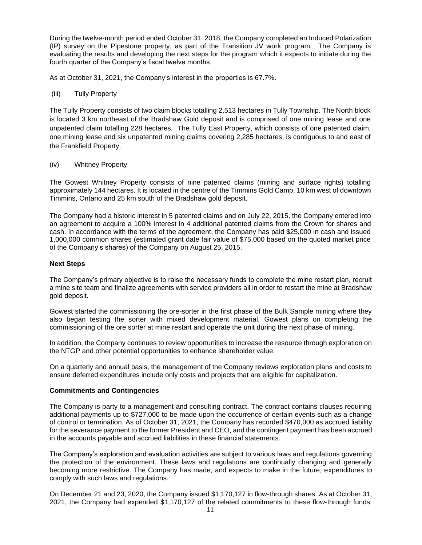During the twelve-month period ended October 31, 2018, the Company completed an Induced Polarization (IP) survey on the Pipestone property, as part of the Transition JV work program. The Company is evaluating the results and developing the next steps for the program which it expects to initiate during the fourth quarter of the Company's fiscal twelve months.

As at October 31, 2021, the Company's interest in the properties is 67.7%.

(iii) Tully Property

The Tully Property consists of two claim blocks totalling 2,513 hectares in Tully Township. The North block is located 3 km northeast of the Bradshaw Gold deposit and is comprised of one mining lease and one unpatented claim totalling 228 hectares. The Tully East Property, which consists of one patented claim, one mining lease and six unpatented mining claims covering 2,285 hectares, is contiguous to and east of the Frankfield Property.

# (iv) Whitney Property

The Gowest Whitney Property consists of nine patented claims (mining and surface rights) totalling approximately 144 hectares. It is located in the centre of the Timmins Gold Camp, 10 km west of downtown Timmins, Ontario and 25 km south of the Bradshaw gold deposit.

The Company had a historic interest in 5 patented claims and on July 22, 2015, the Company entered into an agreement to acquire a 100% interest in 4 additional patented claims from the Crown for shares and cash. In accordance with the terms of the agreement, the Company has paid \$25,000 in cash and issued 1,000,000 common shares (estimated grant date fair value of \$75,000 based on the quoted market price of the Company's shares) of the Company on August 25, 2015.

# **Next Steps**

The Company's primary objective is to raise the necessary funds to complete the mine restart plan, recruit a mine site team and finalize agreements with service providers all in order to restart the mine at Bradshaw gold deposit.

Gowest started the commissioning the ore-sorter in the first phase of the Bulk Sample mining where they also began testing the sorter with mixed development material. Gowest plans on completing the commissioning of the ore sorter at mine restart and operate the unit during the next phase of mining.

In addition, the Company continues to review opportunities to increase the resource through exploration on the NTGP and other potential opportunities to enhance shareholder value.

On a quarterly and annual basis, the management of the Company reviews exploration plans and costs to ensure deferred expenditures include only costs and projects that are eligible for capitalization.

#### **Commitments and Contingencies**

The Company is party to a management and consulting contract. The contract contains clauses requiring additional payments up to \$727,000 to be made upon the occurrence of certain events such as a change of control or termination. As of October 31, 2021, the Company has recorded \$470,000 as accrued liability for the severance payment to the former President and CEO, and the contingent payment has been accrued in the accounts payable and accrued liabilities in these financial statements.

The Company's exploration and evaluation activities are subject to various laws and regulations governing the protection of the environment. These laws and regulations are continually changing and generally becoming more restrictive. The Company has made, and expects to make in the future, expenditures to comply with such laws and regulations.

On December 21 and 23, 2020, the Company issued \$1,170,127 in flow-through shares. As at October 31, 2021, the Company had expended \$1,170,127 of the related commitments to these flow-through funds.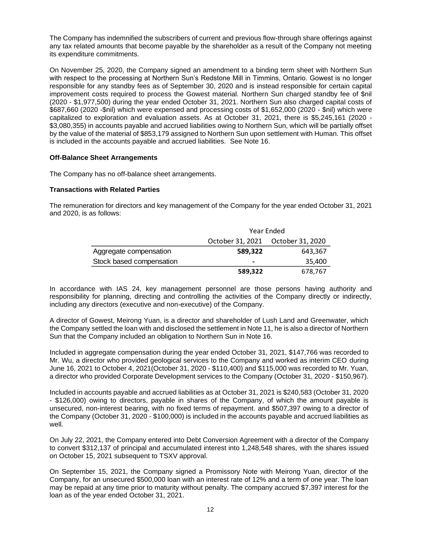The Company has indemnified the subscribers of current and previous flow-through share offerings against any tax related amounts that become payable by the shareholder as a result of the Company not meeting its expenditure commitments.

On November 25, 2020, the Company signed an amendment to a binding term sheet with Northern Sun with respect to the processing at Northern Sun's Redstone Mill in Timmins, Ontario. Gowest is no longer responsible for any standby fees as of September 30, 2020 and is instead responsible for certain capital improvement costs required to process the Gowest material. Northern Sun charged standby fee of \$nil (2020 - \$1,977,500) during the year ended October 31, 2021. Northern Sun also charged capital costs of \$687,660 (2020 -\$nil) which were expensed and processing costs of \$1,652,000 (2020 - \$nil) which were capitalized to exploration and evaluation assets. As at October 31, 2021, there is \$5,245,161 (2020 - \$3,080,355) in accounts payable and accrued liabilities owing to Northern Sun, which will be partially offset by the value of the material of \$853,179 assigned to Northern Sun upon settlement with Human. This offset is included in the accounts payable and accrued liabilities. See Note 16.

# **Off-Balance Sheet Arrangements**

The Company has no off-balance sheet arrangements.

# **Transactions with Related Parties**

The remuneration for directors and key management of the Company for the year ended October 31, 2021 and 2020, is as follows:

|                          | Year Ended               |                                   |  |
|--------------------------|--------------------------|-----------------------------------|--|
|                          |                          | October 31, 2021 October 31, 2020 |  |
| Aggregate compensation   | 589.322                  | 643,367                           |  |
| Stock based compensation | $\overline{\phantom{0}}$ | 35.400                            |  |
|                          | 589.322                  | 678.767                           |  |

In accordance with IAS 24, key management personnel are those persons having authority and responsibility for planning, directing and controlling the activities of the Company directly or indirectly, including any directors (executive and non-executive) of the Company.

A director of Gowest, Meirong Yuan, is a director and shareholder of Lush Land and Greenwater, which the Company settled the loan with and disclosed the settlement in Note 11, he is also a director of Northern Sun that the Company included an obligation to Northern Sun in Note 16.

Included in aggregate compensation during the year ended October 31, 2021, \$147,766 was recorded to Mr. Wu, a director who provided geological services to the Company and worked as interim CEO during June 16, 2021 to October 4, 2021(October 31, 2020 - \$110,400) and \$115,000 was recorded to Mr. Yuan, a director who provided Corporate Development services to the Company (October 31, 2020 - \$150,967).

Included in accounts payable and accrued liabilities as at October 31, 2021 is \$240,583 (October 31, 2020 - \$126,000) owing to directors, payable in shares of the Company, of which the amount payable is unsecured, non-interest bearing, with no fixed terms of repayment. and \$507,397 owing to a director of the Company (October 31, 2020 - \$100,000) is included in the accounts payable and accrued liabilities as well.

On July 22, 2021, the Company entered into Debt Conversion Agreement with a director of the Company to convert \$312,137 of principal and accumulated interest into 1,248,548 shares, with the shares issued on October 15, 2021 subsequent to TSXV approval.

On September 15, 2021, the Company signed a Promissory Note with Meirong Yuan, director of the Company, for an unsecured \$500,000 loan with an interest rate of 12% and a term of one year. The loan may be repaid at any time prior to maturity without penalty. The company accrued \$7,397 interest for the loan as of the year ended October 31, 2021.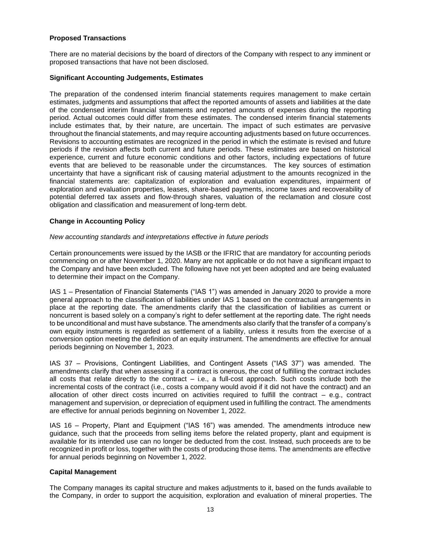# **Proposed Transactions**

There are no material decisions by the board of directors of the Company with respect to any imminent or proposed transactions that have not been disclosed.

### **Significant Accounting Judgements, Estimates**

The preparation of the condensed interim financial statements requires management to make certain estimates, judgments and assumptions that affect the reported amounts of assets and liabilities at the date of the condensed interim financial statements and reported amounts of expenses during the reporting period. Actual outcomes could differ from these estimates. The condensed interim financial statements include estimates that, by their nature, are uncertain. The impact of such estimates are pervasive throughout the financial statements, and may require accounting adjustments based on future occurrences. Revisions to accounting estimates are recognized in the period in which the estimate is revised and future periods if the revision affects both current and future periods. These estimates are based on historical experience, current and future economic conditions and other factors, including expectations of future events that are believed to be reasonable under the circumstances. The key sources of estimation uncertainty that have a significant risk of causing material adjustment to the amounts recognized in the financial statements are: capitalization of exploration and evaluation expenditures, impairment of exploration and evaluation properties, leases, share-based payments, income taxes and recoverability of potential deferred tax assets and flow-through shares, valuation of the reclamation and closure cost obligation and classification and measurement of long-term debt.

# **Change in Accounting Policy**

#### *New accounting standards and interpretations effective in future periods*

Certain pronouncements were issued by the IASB or the IFRIC that are mandatory for accounting periods commencing on or after November 1, 2020. Many are not applicable or do not have a significant impact to the Company and have been excluded. The following have not yet been adopted and are being evaluated to determine their impact on the Company.

IAS 1 – Presentation of Financial Statements ("IAS 1") was amended in January 2020 to provide a more general approach to the classification of liabilities under IAS 1 based on the contractual arrangements in place at the reporting date. The amendments clarify that the classification of liabilities as current or noncurrent is based solely on a company's right to defer settlement at the reporting date. The right needs to be unconditional and must have substance. The amendments also clarify that the transfer of a company's own equity instruments is regarded as settlement of a liability, unless it results from the exercise of a conversion option meeting the definition of an equity instrument. The amendments are effective for annual periods beginning on November 1, 2023.

IAS 37 – Provisions, Contingent Liabilities, and Contingent Assets ("IAS 37") was amended. The amendments clarify that when assessing if a contract is onerous, the cost of fulfilling the contract includes all costs that relate directly to the contract – i.e., a full-cost approach. Such costs include both the incremental costs of the contract (i.e., costs a company would avoid if it did not have the contract) and an allocation of other direct costs incurred on activities required to fulfill the contract – e.g., contract management and supervision, or depreciation of equipment used in fulfilling the contract. The amendments are effective for annual periods beginning on November 1, 2022.

IAS 16 – Property, Plant and Equipment ("IAS 16") was amended. The amendments introduce new guidance, such that the proceeds from selling items before the related property, plant and equipment is available for its intended use can no longer be deducted from the cost. Instead, such proceeds are to be recognized in profit or loss, together with the costs of producing those items. The amendments are effective for annual periods beginning on November 1, 2022.

#### **Capital Management**

The Company manages its capital structure and makes adjustments to it, based on the funds available to the Company, in order to support the acquisition, exploration and evaluation of mineral properties. The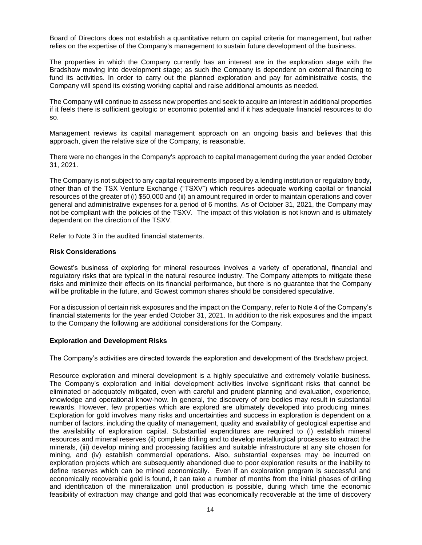Board of Directors does not establish a quantitative return on capital criteria for management, but rather relies on the expertise of the Company's management to sustain future development of the business.

The properties in which the Company currently has an interest are in the exploration stage with the Bradshaw moving into development stage; as such the Company is dependent on external financing to fund its activities. In order to carry out the planned exploration and pay for administrative costs, the Company will spend its existing working capital and raise additional amounts as needed.

The Company will continue to assess new properties and seek to acquire an interest in additional properties if it feels there is sufficient geologic or economic potential and if it has adequate financial resources to do so.

Management reviews its capital management approach on an ongoing basis and believes that this approach, given the relative size of the Company, is reasonable.

There were no changes in the Company's approach to capital management during the year ended October 31, 2021.

The Company is not subject to any capital requirements imposed by a lending institution or regulatory body, other than of the TSX Venture Exchange ("TSXV") which requires adequate working capital or financial resources of the greater of (i) \$50,000 and (ii) an amount required in order to maintain operations and cover general and administrative expenses for a period of 6 months. As of October 31, 2021, the Company may not be compliant with the policies of the TSXV. The impact of this violation is not known and is ultimately dependent on the direction of the TSXV.

Refer to Note 3 in the audited financial statements.

#### **Risk Considerations**

Gowest's business of exploring for mineral resources involves a variety of operational, financial and regulatory risks that are typical in the natural resource industry. The Company attempts to mitigate these risks and minimize their effects on its financial performance, but there is no guarantee that the Company will be profitable in the future, and Gowest common shares should be considered speculative.

For a discussion of certain risk exposures and the impact on the Company, refer to Note 4 of the Company's financial statements for the year ended October 31, 2021. In addition to the risk exposures and the impact to the Company the following are additional considerations for the Company.

#### **Exploration and Development Risks**

The Company's activities are directed towards the exploration and development of the Bradshaw project.

Resource exploration and mineral development is a highly speculative and extremely volatile business. The Company's exploration and initial development activities involve significant risks that cannot be eliminated or adequately mitigated, even with careful and prudent planning and evaluation, experience, knowledge and operational know-how. In general, the discovery of ore bodies may result in substantial rewards. However, few properties which are explored are ultimately developed into producing mines. Exploration for gold involves many risks and uncertainties and success in exploration is dependent on a number of factors, including the quality of management, quality and availability of geological expertise and the availability of exploration capital. Substantial expenditures are required to (i) establish mineral resources and mineral reserves (ii) complete drilling and to develop metallurgical processes to extract the minerals, (iii) develop mining and processing facilities and suitable infrastructure at any site chosen for mining, and (iv) establish commercial operations. Also, substantial expenses may be incurred on exploration projects which are subsequently abandoned due to poor exploration results or the inability to define reserves which can be mined economically. Even if an exploration program is successful and economically recoverable gold is found, it can take a number of months from the initial phases of drilling and identification of the mineralization until production is possible, during which time the economic feasibility of extraction may change and gold that was economically recoverable at the time of discovery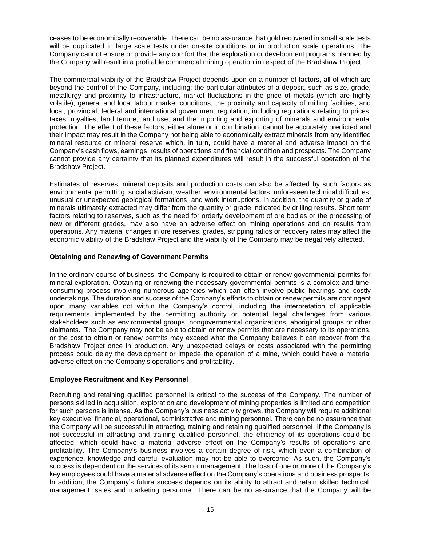ceases to be economically recoverable. There can be no assurance that gold recovered in small scale tests will be duplicated in large scale tests under on-site conditions or in production scale operations. The Company cannot ensure or provide any comfort that the exploration or development programs planned by the Company will result in a profitable commercial mining operation in respect of the Bradshaw Project.

The commercial viability of the Bradshaw Project depends upon on a number of factors, all of which are beyond the control of the Company, including: the particular attributes of a deposit, such as size, grade, metallurgy and proximity to infrastructure, market fluctuations in the price of metals (which are highly volatile), general and local labour market conditions, the proximity and capacity of milling facilities, and local, provincial, federal and international government regulation, including regulations relating to prices, taxes, royalties, land tenure, land use, and the importing and exporting of minerals and environmental protection. The effect of these factors, either alone or in combination, cannot be accurately predicted and their impact may result in the Company not being able to economically extract minerals from any identified mineral resource or mineral reserve which, in turn, could have a material and adverse impact on the Company's cash flows, earnings, results of operations and financial condition and prospects. The Company cannot provide any certainty that its planned expenditures will result in the successful operation of the Bradshaw Project.

Estimates of reserves, mineral deposits and production costs can also be affected by such factors as environmental permitting, social activism, weather, environmental factors, unforeseen technical difficulties, unusual or unexpected geological formations, and work interruptions. In addition, the quantity or grade of minerals ultimately extracted may differ from the quantity or grade indicated by drilling results. Short term factors relating to reserves, such as the need for orderly development of ore bodies or the processing of new or different grades, may also have an adverse effect on mining operations and on results from operations. Any material changes in ore reserves, grades, stripping ratios or recovery rates may affect the economic viability of the Bradshaw Project and the viability of the Company may be negatively affected.

#### **Obtaining and Renewing of Government Permits**

In the ordinary course of business, the Company is required to obtain or renew governmental permits for mineral exploration. Obtaining or renewing the necessary governmental permits is a complex and timeconsuming process involving numerous agencies which can often involve public hearings and costly undertakings. The duration and success of the Company's efforts to obtain or renew permits are contingent upon many variables not within the Company's control, including the interpretation of applicable requirements implemented by the permitting authority or potential legal challenges from various stakeholders such as environmental groups, nongovernmental organizations, aboriginal groups or other claimants. The Company may not be able to obtain or renew permits that are necessary to its operations, or the cost to obtain or renew permits may exceed what the Company believes it can recover from the Bradshaw Project once in production. Any unexpected delays or costs associated with the permitting process could delay the development or impede the operation of a mine, which could have a material adverse effect on the Company's operations and profitability.

#### **Employee Recruitment and Key Personnel**

Recruiting and retaining qualified personnel is critical to the success of the Company. The number of persons skilled in acquisition, exploration and development of mining properties is limited and competition for such persons is intense. As the Company's business activity grows, the Company will require additional key executive, financial, operational, administrative and mining personnel. There can be no assurance that the Company will be successful in attracting, training and retaining qualified personnel. If the Company is not successful in attracting and training qualified personnel, the efficiency of its operations could be affected, which could have a material adverse effect on the Company's results of operations and profitability. The Company's business involves a certain degree of risk, which even a combination of experience, knowledge and careful evaluation may not be able to overcome. As such, the Company's success is dependent on the services of its senior management. The loss of one or more of the Company's key employees could have a material adverse effect on the Company's operations and business prospects. In addition, the Company's future success depends on its ability to attract and retain skilled technical, management, sales and marketing personnel. There can be no assurance that the Company will be